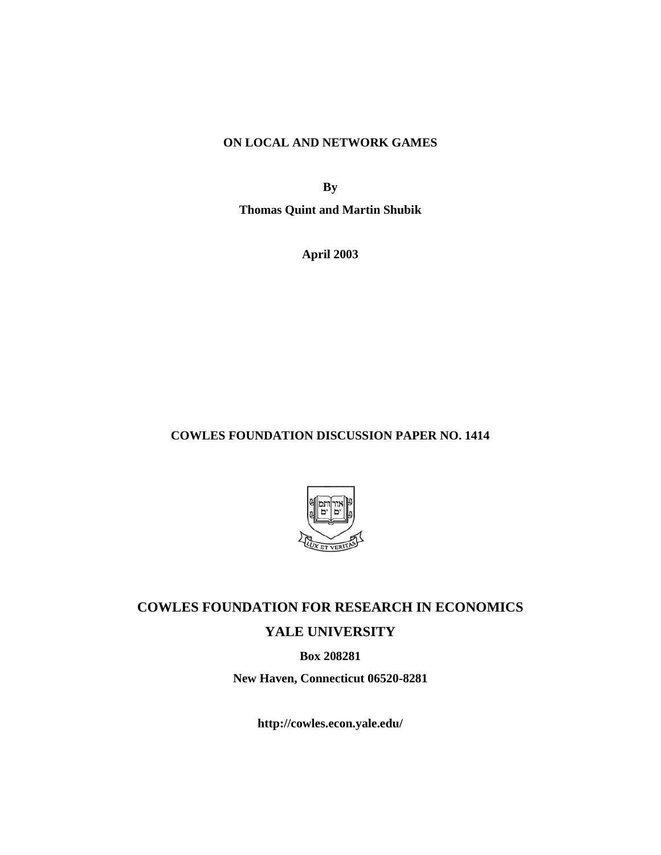## **ON LOCAL AND NETWORK GAMES**

**By**

**Thomas Quint and Martin Shubik**

**April 2003**

# **COWLES FOUNDATION DISCUSSION PAPER NO. 1414**



# **COWLES FOUNDATION FOR RESEARCH IN ECONOMICS**

# **YALE UNIVERSITY**

**Box 208281**

**New Haven, Connecticut 06520-8281**

**http://cowles.econ.yale.edu/**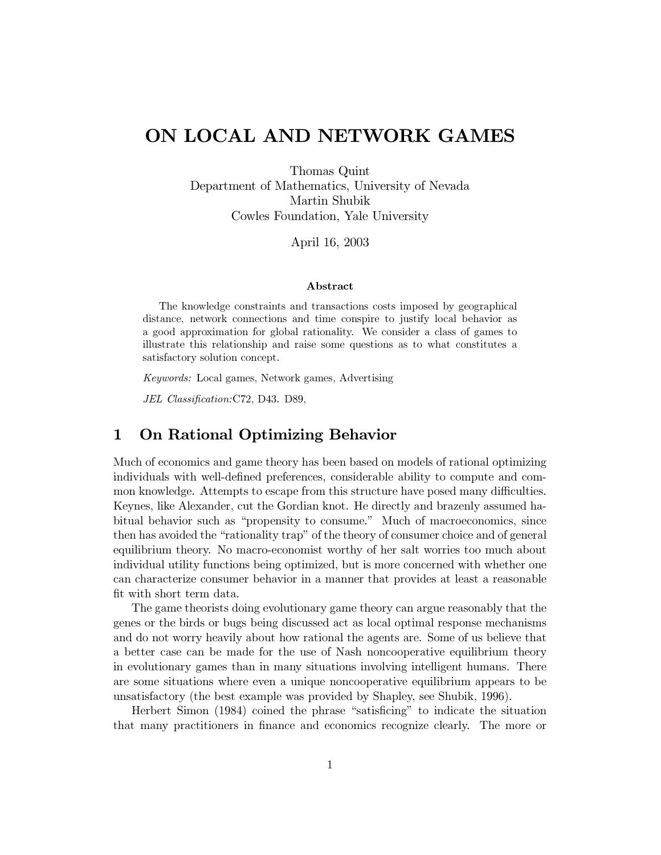# ON LOCAL AND NETWORK GAMES

Thomas Quint Department of Mathematics, University of Nevada Martin Shubik Cowles Foundation, Yale University

April 16, 2003

### Abstract

The knowledge constraints and transactions costs imposed by geographical distance, network connections and time conspire to justify local behavior as a good approximation for global rationality. We consider a class of games to illustrate this relationship and raise some questions as to what constitutes a satisfactory solution concept.

Keywords: Local games, Network games, Advertising

JEL Classification: C72, D43. D89,

#### **On Rational Optimizing Behavior**  $\mathbf 1$

Much of economics and game theory has been based on models of rational optimizing individuals with well-defined preferences, considerable ability to compute and common knowledge. Attempts to escape from this structure have posed many difficulties. Keynes, like Alexander, cut the Gordian knot. He directly and brazenly assumed habitual behavior such as "propensity to consume." Much of macroeconomics, since then has avoided the "rationality trap" of the theory of consumer choice and of general equilibrium theory. No macro-economist worthy of her salt worries too much about individual utility functions being optimized, but is more concerned with whether one can characterize consumer behavior in a manner that provides at least a reasonable fit with short term data.

The game theorists doing evolutionary game theory can argue reasonably that the genes or the birds or bugs being discussed act as local optimal response mechanisms and do not worry heavily about how rational the agents are. Some of us believe that a better case can be made for the use of Nash noncooperative equilibrium theory in evolutionary games than in many situations involving intelligent humans. There are some situations where even a unique noncooperative equilibrium appears to be unsatisfactory (the best example was provided by Shapley, see Shubik, 1996).

Herbert Simon (1984) coined the phrase "satisficing" to indicate the situation that many practitioners in finance and economics recognize clearly. The more or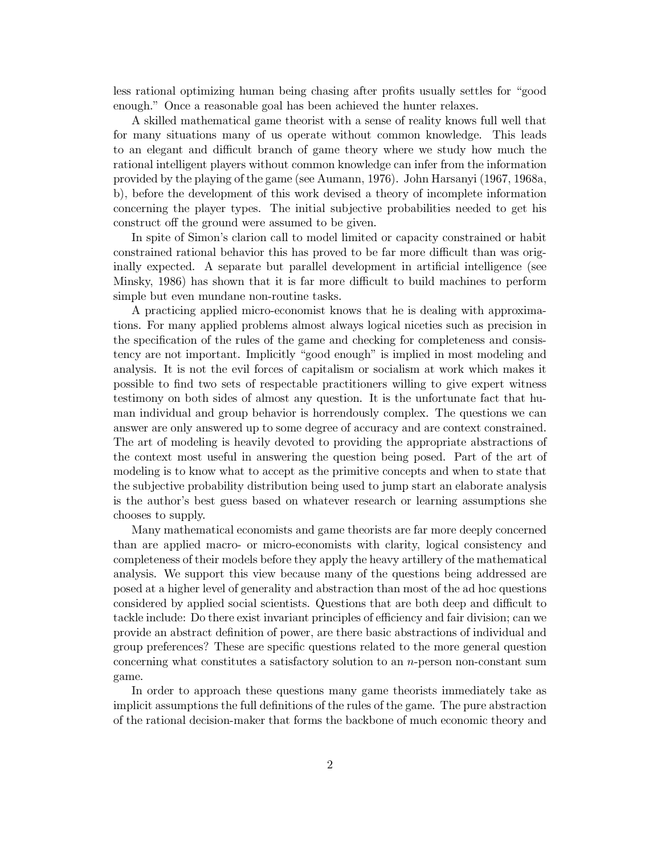less rational optimizing human being chasing after profits usually settles for "good enough." Once a reasonable goal has been achieved the hunter relaxes.

A skilled mathematical game theorist with a sense of reality knows full well that for many situations many of us operate without common knowledge. This leads to an elegant and difficult branch of game theory where we study how much the rational intelligent players without common knowledge can infer from the information provided by the playing of the game (see Aumann, 1976). John Harsanyi (1967, 1968a, b), before the development of this work devised a theory of incomplete information concerning the player types. The initial subjective probabilities needed to get his construct off the ground were assumed to be given.

In spite of Simon's clarion call to model limited or capacity constrained or habit constrained rational behavior this has proved to be far more difficult than was originally expected. A separate but parallel development in artificial intelligence (see Minsky, 1986) has shown that it is far more difficult to build machines to perform simple but even mundane non-routine tasks.

A practicing applied micro-economist knows that he is dealing with approximations. For many applied problems almost always logical niceties such as precision in the specification of the rules of the game and checking for completeness and consistency are not important. Implicitly "good enough" is implied in most modeling and analysis. It is not the evil forces of capitalism or socialism at work which makes it possible to find two sets of respectable practitioners willing to give expert witness testimony on both sides of almost any question. It is the unfortunate fact that human individual and group behavior is horrendously complex. The questions we can answer are only answered up to some degree of accuracy and are context constrained. The art of modeling is heavily devoted to providing the appropriate abstractions of the context most useful in answering the question being posed. Part of the art of modeling is to know what to accept as the primitive concepts and when to state that the subjective probability distribution being used to jump start an elaborate analysis is the author's best guess based on whatever research or learning assumptions she chooses to supply.

Many mathematical economists and game theorists are far more deeply concerned than are applied macro- or micro-economists with clarity, logical consistency and completeness of their models before they apply the heavy artillery of the mathematical analysis. We support this view because many of the questions being addressed are posed at a higher level of generality and abstraction than most of the ad hoc questions considered by applied social scientists. Questions that are both deep and difficult to tackle include: Do there exist invariant principles of efficiency and fair division; can we provide an abstract definition of power, are there basic abstractions of individual and group preferences? These are specific questions related to the more general question concerning what constitutes a satisfactory solution to an  $n$ -person non-constant sum game.

In order to approach these questions many game theorists immediately take as implicit assumptions the full definitions of the rules of the game. The pure abstraction of the rational decision-maker that forms the backbone of much economic theory and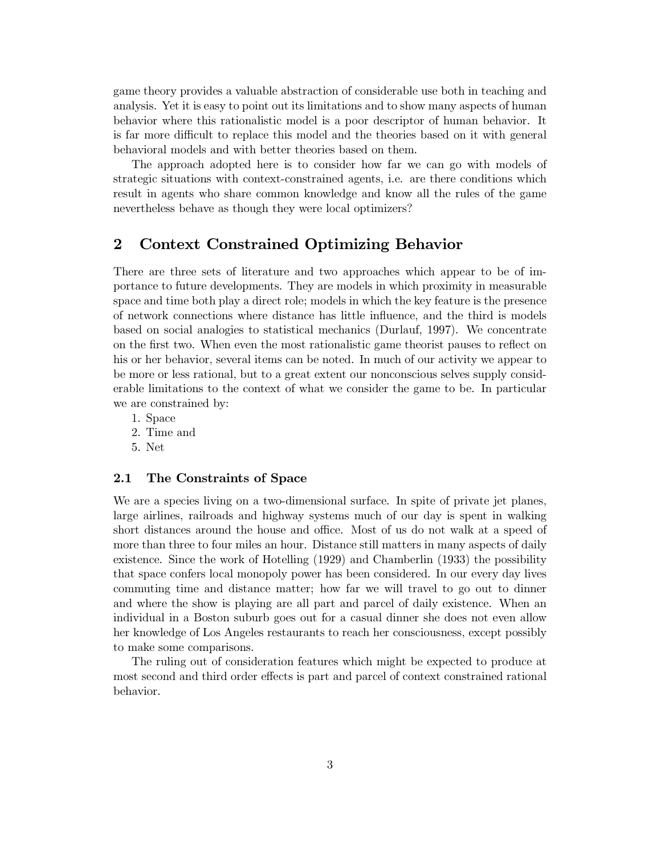game theory provides a valuable abstraction of considerable use both in teaching and analysis. Yet it is easy to point out its limitations and to show many aspects of human behavior where this rationalistic model is a poor descriptor of human behavior. It is far more difficult to replace this model and the theories based on it with general behavioral models and with better theories based on them.

The approach adopted here is to consider how far we can go with models of strategic situations with context-constrained agents, i.e. are there conditions which result in agents who share common knowledge and know all the rules of the game nevertheless behave as though they were local optimizers?

#### $\bf{2}$ Context Constrained Optimizing Behavior

There are three sets of literature and two approaches which appear to be of importance to future developments. They are models in which proximity in measurable space and time both play a direct role; models in which the key feature is the presence of network connections where distance has little influence, and the third is models based on social analogies to statistical mechanics (Durlauf, 1997). We concentrate on the first two. When even the most rationalistic game theorist pauses to reflect on his or her behavior, several items can be noted. In much of our activity we appear to be more or less rational, but to a great extent our nonconscious selves supply considerable limitations to the context of what we consider the game to be. In particular we are constrained by:

- 1. Space
- 2. Time and
- 5. Net

#### $2.1$ The Constraints of Space

We are a species living on a two-dimensional surface. In spite of private jet planes, large airlines, railroads and highway systems much of our day is spent in walking short distances around the house and office. Most of us do not walk at a speed of more than three to four miles an hour. Distance still matters in many aspects of daily existence. Since the work of Hotelling (1929) and Chamberlin (1933) the possibility that space confers local monopoly power has been considered. In our every day lives commuting time and distance matter; how far we will travel to go out to dinner and where the show is playing are all part and parcel of daily existence. When an individual in a Boston suburb goes out for a casual dinner she does not even allow her knowledge of Los Angeles restaurants to reach her consciousness, except possibly to make some comparisons.

The ruling out of consideration features which might be expected to produce at most second and third order effects is part and parcel of context constrained rational behavior.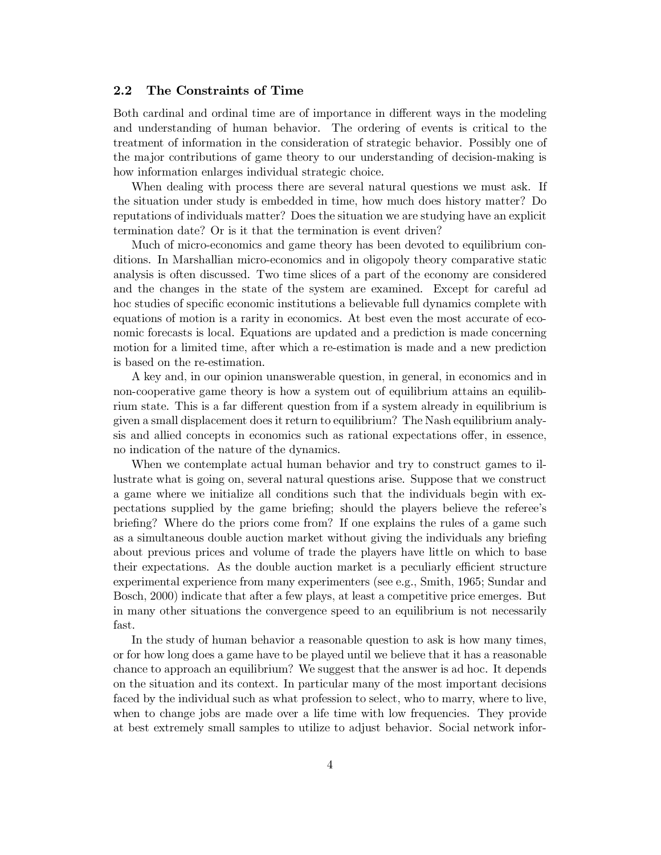#### $2.2$ The Constraints of Time

Both cardinal and ordinal time are of importance in different ways in the modeling and understanding of human behavior. The ordering of events is critical to the treatment of information in the consideration of strategic behavior. Possibly one of the major contributions of game theory to our understanding of decision-making is how information enlarges individual strategic choice.

When dealing with process there are several natural questions we must ask. If the situation under study is embedded in time, how much does history matter? Do reputations of individuals matter? Does the situation we are studying have an explicit termination date? Or is it that the termination is event driven?

Much of micro-economics and game theory has been devoted to equilibrium conditions. In Marshallian micro-economics and in oligopoly theory comparative static analysis is often discussed. Two time slices of a part of the economy are considered and the changes in the state of the system are examined. Except for careful ad hoc studies of specific economic institutions a believable full dynamics complete with equations of motion is a rarity in economics. At best even the most accurate of economic forecasts is local. Equations are updated and a prediction is made concerning motion for a limited time, after which a re-estimation is made and a new prediction is based on the re-estimation.

A key and, in our opinion unanswerable question, in general, in economics and in non-cooperative game theory is how a system out of equilibrium attains an equilibrium state. This is a far different question from if a system already in equilibrium is given a small displacement does it return to equilibrium? The Nash equilibrium analysis and allied concepts in economics such as rational expectations offer, in essence, no indication of the nature of the dynamics.

When we contemplate actual human behavior and try to construct games to illustrate what is going on, several natural questions arise. Suppose that we construct a game where we initialize all conditions such that the individuals begin with expectations supplied by the game briefing; should the players believe the referee's briefing? Where do the priors come from? If one explains the rules of a game such as a simultaneous double auction market without giving the individuals any briefing about previous prices and volume of trade the players have little on which to base their expectations. As the double auction market is a peculiarly efficient structure experimental experience from many experimenters (see e.g., Smith, 1965; Sundar and Bosch, 2000) indicate that after a few plays, at least a competitive price emerges. But in many other situations the convergence speed to an equilibrium is not necessarily fast.

In the study of human behavior a reasonable question to ask is how many times, or for how long does a game have to be played until we believe that it has a reasonable chance to approach an equilibrium? We suggest that the answer is ad hoc. It depends on the situation and its context. In particular many of the most important decisions faced by the individual such as what profession to select, who to marry, where to live, when to change jobs are made over a life time with low frequencies. They provide at best extremely small samples to utilize to adjust behavior. Social network infor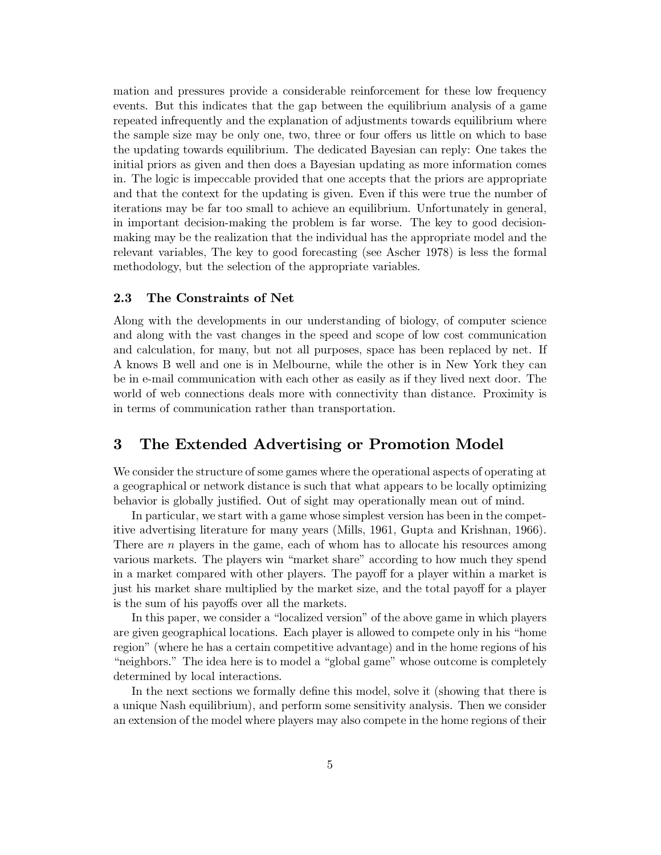mation and pressures provide a considerable reinforcement for these low frequency events. But this indicates that the gap between the equilibrium analysis of a game repeated infrequently and the explanation of adjustments towards equilibrium where the sample size may be only one, two, three or four offers us little on which to base the updating towards equilibrium. The dedicated Bayesian can reply: One takes the initial priors as given and then does a Bayesian updating as more information comes in. The logic is impeccable provided that one accepts that the priors are appropriate and that the context for the updating is given. Even if this were true the number of iterations may be far too small to achieve an equilibrium. Unfortunately in general, in important decision-making the problem is far worse. The key to good decisionmaking may be the realization that the individual has the appropriate model and the relevant variables, The key to good forecasting (see Ascher 1978) is less the formal methodology, but the selection of the appropriate variables.

#### 2.3 The Constraints of Net

Along with the developments in our understanding of biology, of computer science and along with the vast changes in the speed and scope of low cost communication and calculation, for many, but not all purposes, space has been replaced by net. If A knows B well and one is in Melbourne, while the other is in New York they can be in e-mail communication with each other as easily as if they lived next door. The world of web connections deals more with connectivity than distance. Proximity is in terms of communication rather than transportation.

#### $\bf{3}$ The Extended Advertising or Promotion Model

We consider the structure of some games where the operational aspects of operating at a geographical or network distance is such that what appears to be locally optimizing behavior is globally justified. Out of sight may operationally mean out of mind.

In particular, we start with a game whose simplest version has been in the competitive advertising literature for many years (Mills, 1961, Gupta and Krishnan, 1966). There are  $n$  players in the game, each of whom has to allocate his resources among various markets. The players win "market share" according to how much they spend in a market compared with other players. The payoff for a player within a market is just his market share multiplied by the market size, and the total payoff for a player is the sum of his payoffs over all the markets.

In this paper, we consider a "localized version" of the above game in which players are given geographical locations. Each player is allowed to compete only in his "home region" (where he has a certain competitive advantage) and in the home regions of his "neighbors." The idea here is to model a "global game" whose outcome is completely determined by local interactions.

In the next sections we formally define this model, solve it (showing that there is a unique Nash equilibrium), and perform some sensitivity analysis. Then we consider an extension of the model where players may also compete in the home regions of their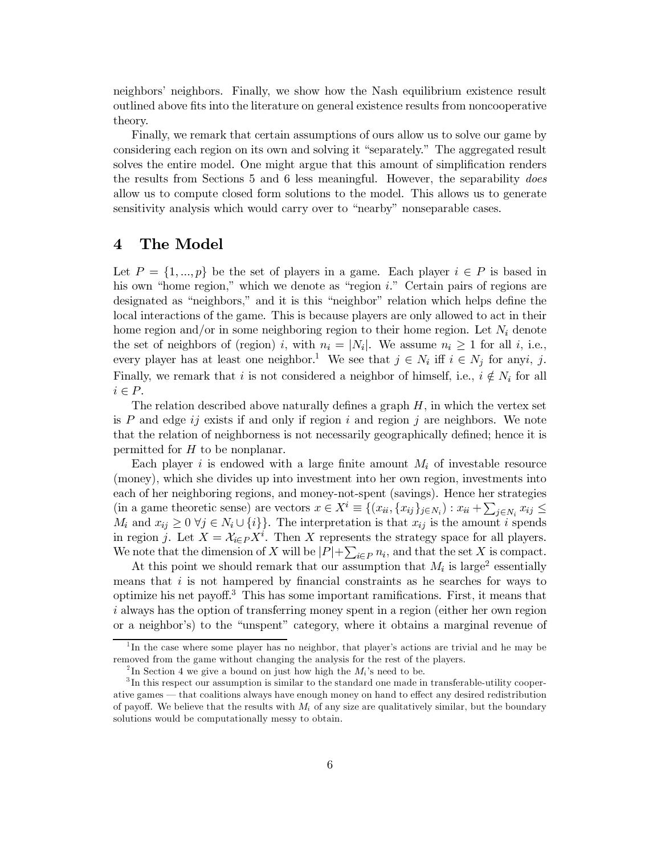neighbors' neighbors. Finally, we show how the Nash equilibrium existence result outlined above fits into the literature on general existence results from noncooperative theory.

Finally, we remark that certain assumptions of ours allow us to solve our game by considering each region on its own and solving it "separately." The aggregated result solves the entire model. One might argue that this amount of simplification renders the results from Sections 5 and 6 less meaningful. However, the separability *does* allow us to compute closed form solutions to the model. This allows us to generate sensitivity analysis which would carry over to "nearby" nonseparable cases.

#### The Model  $\boldsymbol{4}$

Let  $P = \{1, ..., p\}$  be the set of players in a game. Each player  $i \in P$  is based in his own "home region." which we denote as "region  $i$ ." Certain pairs of regions are designated as "neighbors," and it is this "neighbor" relation which helps define the local interactions of the game. This is because players are only allowed to act in their home region and/or in some neighboring region to their home region. Let  $N_i$  denote the set of neighbors of (region) i, with  $n_i = |N_i|$ . We assume  $n_i \ge 1$  for all i, i.e., every player has at least one neighbor.<sup>1</sup> We see that  $j \in N_i$  iff  $i \in N_j$  for anyi, j. Finally, we remark that i is not considered a neighbor of himself, i.e.,  $i \notin N_i$  for all  $i \in P$ .

The relation described above naturally defines a graph  $H$ , in which the vertex set is  $P$  and edge ij exists if and only if region i and region j are neighbors. We note that the relation of neighborness is not necessarily geographically defined; hence it is permitted for  $H$  to be nonplanar.

Each player i is endowed with a large finite amount  $M_i$  of investable resource (money), which she divides up into investment into her own region, investments into each of her neighboring regions, and money-not-spent (savings). Hence her strategies (in a game theoretic sense) are vectors  $x \in X^i \equiv \{(x_{ii}, \{x_{ij}\}_{j \in N_i}) : x_{ii} + \sum_{j \in N_i} x_{ij} \leq$  $M_i$  and  $x_{ij} \geq 0 \ \forall j \in N_i \cup \{i\}$ . The interpretation is that  $x_{ij}$  is the amount i spends in region j. Let  $X = \mathcal{X}_{i \in P} X^i$ . Then X represents the strategy space for all players. We note that the dimension of X will be  $|P| + \sum_{i \in P} n_i$ , and that the set X is compact.

At this point we should remark that our assumption that  $M_i$  is large<sup>2</sup> essentially means that  $i$  is not hampered by financial constraints as he searches for ways to optimize his net payoff.<sup>3</sup> This has some important ramifications. First, it means that *i* always has the option of transferring money spent in a region (either her own region or a neighbor's) to the "unspent" category, where it obtains a marginal revenue of

In the case where some player has no neighbor, that player's actions are trivial and he may be removed from the game without changing the analysis for the rest of the players.

<sup>&</sup>lt;sup>2</sup>In Section 4 we give a bound on just how high the  $M_i$ 's need to be.

 ${}^{3}$ In this respect our assumption is similar to the standard one made in transferable-utility cooperative games — that coalitions always have enough money on hand to effect any desired redistribution of payoff. We believe that the results with  $M_i$  of any size are qualitatively similar, but the boundary solutions would be computationally messy to obtain.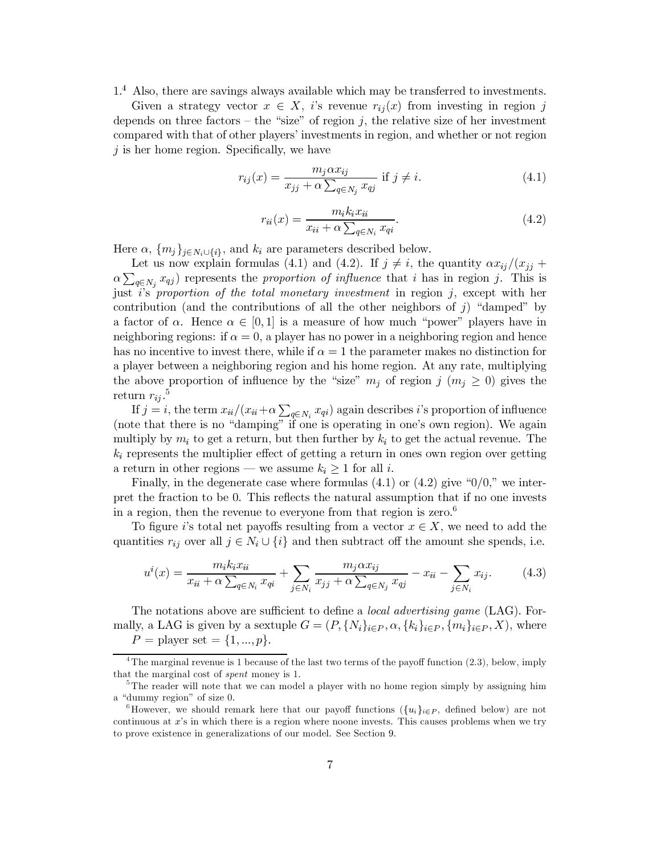$1<sup>4</sup>$  Also, there are savings always available which may be transferred to investments.

Given a strategy vector  $x \in X$ , i's revenue  $r_{ij}(x)$  from investing in region j depends on three factors – the "size" of region j, the relative size of her investment compared with that of other players' investments in region, and whether or not region  $j$  is her home region. Specifically, we have

$$
r_{ij}(x) = \frac{m_j \alpha x_{ij}}{x_{jj} + \alpha \sum_{q \in N_j} x_{qj}} \text{ if } j \neq i. \tag{4.1}
$$

$$
r_{ii}(x) = \frac{m_i k_i x_{ii}}{x_{ii} + \alpha \sum_{q \in N_i} x_{qi}}.\tag{4.2}
$$

Here  $\alpha$ ,  $\{m_j\}_{j \in N_i \cup \{i\}}$ , and  $k_i$  are parameters described below.

Let us now explain formulas (4.1) and (4.2). If  $j \neq i$ , the quantity  $\alpha x_{ij}/(x_{jj} +$  $\alpha \sum_{q \in N_j} x_{qj}$  represents the proportion of influence that i has in region j. This is just i's proportion of the total monetary investment in region  $j$ , except with her contribution (and the contributions of all the other neighbors of  $j$ ) "damped" by a factor of  $\alpha$ . Hence  $\alpha \in [0,1]$  is a measure of how much "power" players have in neighboring regions: if  $\alpha = 0$ , a player has no power in a neighboring region and hence has no incentive to invest there, while if  $\alpha = 1$  the parameter makes no distinction for a player between a neighboring region and his home region. At any rate, multiplying the above proportion of influence by the "size"  $m_i$  of region  $j$   $(m_i \geq 0)$  gives the return  $r_{ii}$ .<sup>5</sup>

If  $j = i$ , the term  $x_{ii}/(x_{ii} + \alpha \sum_{q \in N_i} x_{qi})$  again describes i's proportion of influence (note that there is no "damping" if one is operating in one's own region). We again multiply by  $m_i$  to get a return, but then further by  $k_i$  to get the actual revenue. The  $k_i$  represents the multiplier effect of getting a return in ones own region over getting a return in other regions — we assume  $k_i \geq 1$  for all i.

Finally, in the degenerate case where formulas  $(4.1)$  or  $(4.2)$  give " $0/0$ ," we interpret the fraction to be 0. This reflects the natural assumption that if no one invests in a region, then the revenue to everyone from that region is zero.<sup>6</sup>

To figure is total net payoffs resulting from a vector  $x \in X$ , we need to add the quantities  $r_{ij}$  over all  $j \in N_i \cup \{i\}$  and then subtract off the amount she spends, i.e.

$$
u^{i}(x) = \frac{m_{i}k_{i}x_{ii}}{x_{ii} + \alpha \sum_{q \in N_{i}} x_{qi}} + \sum_{j \in N_{i}} \frac{m_{j}\alpha x_{ij}}{x_{jj} + \alpha \sum_{q \in N_{j}} x_{qj}} - x_{ii} - \sum_{j \in N_{i}} x_{ij}.
$$
 (4.3)

The notations above are sufficient to define a *local advertising game* (LAG). Formally, a LAG is given by a sextuple  $G = (P, \{N_i\}_{i \in P}, \alpha, \{k_i\}_{i \in P}, \{m_i\}_{i \in P}, X)$ , where  $P =$  player set = {1, ..., p}.

<sup>&</sup>lt;sup>4</sup>The marginal revenue is 1 because of the last two terms of the payoff function  $(2.3)$ , below, imply that the marginal cost of *spent* money is 1.

<sup>&</sup>lt;sup>5</sup>The reader will note that we can model a player with no home region simply by assigning him a "dummy region" of size 0.

<sup>&</sup>lt;sup>6</sup>However, we should remark here that our payoff functions  $({u_i}_{i\in P}$ , defined below) are not continuous at x's in which there is a region where noone invests. This causes problems when we try to prove existence in generalizations of our model. See Section 9.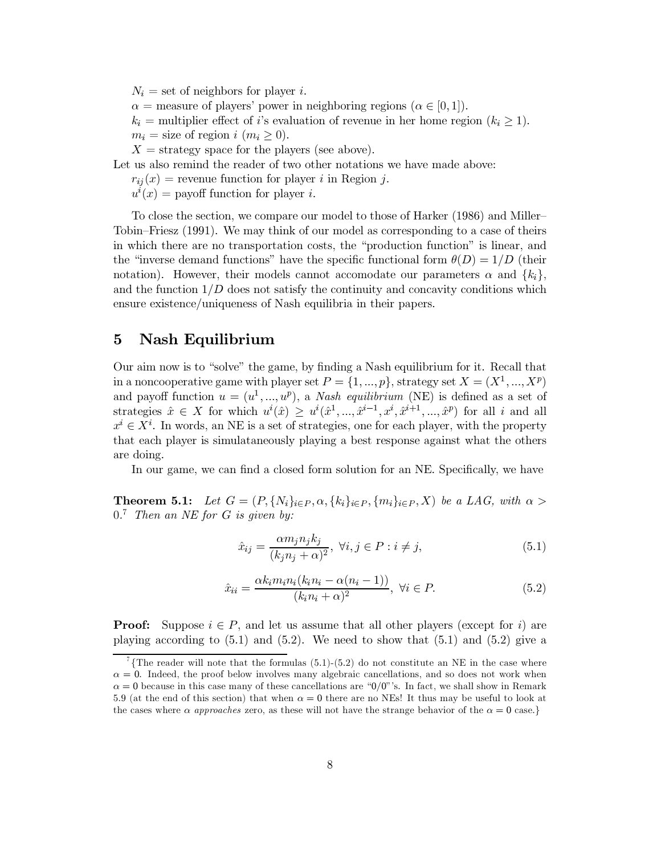$N_i =$  set of neighbors for player i.  $\alpha$  = measure of players' power in neighboring regions ( $\alpha \in [0,1]$ ).  $k_i$  = multiplier effect of *i*'s evaluation of revenue in her home region  $(k_i \geq 1)$ .  $m_i =$  size of region i  $(m_i \geq 0)$ .  $X =$  strategy space for the players (see above). Let us also remind the reader of two other notations we have made above:

 $r_{ij}(x)$  = revenue function for player i in Region j.

 $u^{i}(x) =$  payoff function for player i.

To close the section, we compare our model to those of Harker (1986) and Miller-Tobin–Friesz (1991). We may think of our model as corresponding to a case of theirs in which there are no transportation costs, the "production function" is linear, and the "inverse demand functions" have the specific functional form  $\theta(D) = 1/D$  (their notation). However, their models cannot accomodate our parameters  $\alpha$  and  $\{k_i\}$ . and the function  $1/D$  does not satisfy the continuity and concavity conditions which ensure existence/uniqueness of Nash equilibria in their papers.

#### $\bf{5}$ Nash Equilibrium

Our aim now is to "solve" the game, by finding a Nash equilibrium for it. Recall that in a noncooperative game with player set  $P = \{1, ..., p\}$ , strategy set  $X = (X^1, ..., X^p)$ and payoff function  $u = (u^1, ..., u^p)$ , a *Nash equilibrium* (NE) is defined as a set of strategies  $\hat{x} \in X$  for which  $u^i(\hat{x}) \geq u^i(\hat{x}^1, ..., \hat{x}^{i-1}, x^i, \hat{x}^{i+1}, ..., \hat{x}^p)$  for all i and all  $x^i \in X^i$ . In words, an NE is a set of strategies, one for each player, with the property that each player is simulataneously playing a best response against what the others are doing.

In our game, we can find a closed form solution for an NE. Specifically, we have

**Theorem 5.1:** Let  $G = (P, \{N_i\}_{i \in P}, \alpha, \{k_i\}_{i \in P}, \{m_i\}_{i \in P}, X)$  be a LAG, with  $\alpha >$  $0.^7$  Then an NE for G is given by:

$$
\hat{x}_{ij} = \frac{\alpha m_j n_j k_j}{(k_j n_j + \alpha)^2}, \ \forall i, j \in P : i \neq j,
$$
\n
$$
(5.1)
$$

$$
\hat{x}_{ii} = \frac{\alpha k_i m_i n_i (k_i n_i - \alpha (n_i - 1))}{(k_i n_i + \alpha)^2}, \ \forall i \in P.
$$
\n
$$
(5.2)
$$

**Proof:** Suppose  $i \in P$ , and let us assume that all other players (except for i) are playing according to  $(5.1)$  and  $(5.2)$ . We need to show that  $(5.1)$  and  $(5.2)$  give a

<sup>&</sup>lt;sup>7</sup>{The reader will note that the formulas (5.1)-(5.2) do not constitute an NE in the case where  $\alpha = 0$ . Indeed, the proof below involves many algebraic cancellations, and so does not work when  $\alpha = 0$  because in this case many of these cancellations are "0/0"'s. In fact, we shall show in Remark 5.9 (at the end of this section) that when  $\alpha = 0$  there are no NEs! It thus may be useful to look at the cases where  $\alpha$  approaches zero, as these will not have the strange behavior of the  $\alpha = 0$  case.}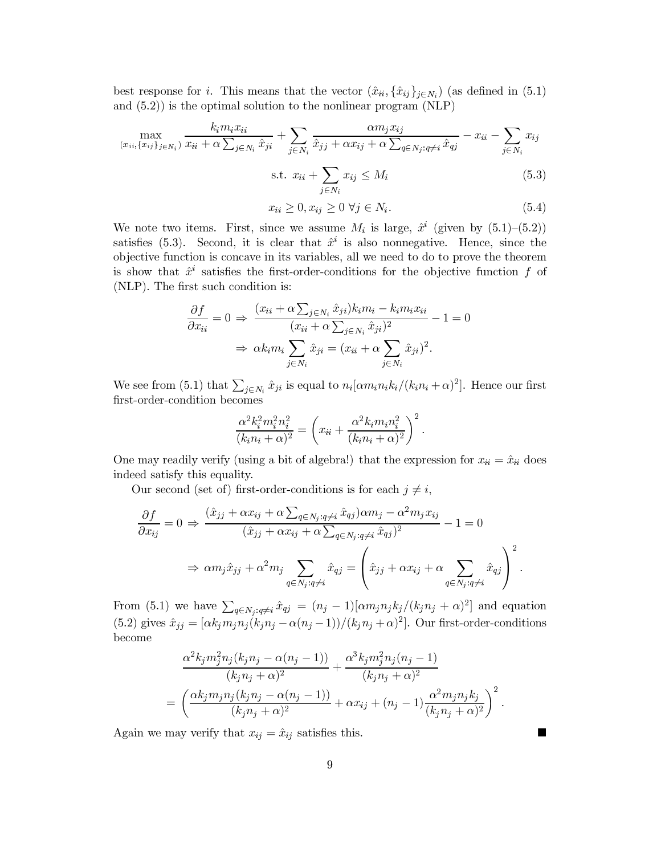best response for i. This means that the vector  $(\hat{x}_{ii}, {\hat{x}_{ij}}_{j \in N_i})$  (as defined in (5.1) and  $(5.2)$ ) is the optimal solution to the nonlinear program (NLP)

$$
\max_{(x_{ii}, \{x_{ij}\}_{j \in N_i})} \frac{k_i m_i x_{ii}}{x_{ii} + \alpha \sum_{j \in N_i} \hat{x}_{ji}} + \sum_{j \in N_i} \frac{\alpha m_j x_{ij}}{\hat{x}_{jj} + \alpha x_{ij} + \alpha \sum_{q \in N_j : q \neq i} \hat{x}_{qj}} - x_{ii} - \sum_{j \in N_i} x_{ij}
$$
\n
$$
\text{s.t. } x_{ii} + \sum_{j \in N_i} x_{ij} \le M_i \tag{5.3}
$$

$$
x_{ii} \ge 0, x_{ij} \ge 0 \,\forall j \in N_i. \tag{5.4}
$$

We note two items. First, since we assume  $M_i$  is large,  $\hat{x}^i$  (given by  $(5.1)$ - $(5.2)$ ) satisfies (5.3). Second, it is clear that  $\hat{x}^i$  is also nonnegative. Hence, since the objective function is concave in its variables, all we need to do to prove the theorem is show that  $\hat{x}^i$  satisfies the first-order-conditions for the objective function f of (NLP). The first such condition is:

$$
\frac{\partial f}{\partial x_{ii}} = 0 \Rightarrow \frac{(x_{ii} + \alpha \sum_{j \in N_i} \hat{x}_{ji}) k_i m_i - k_i m_i x_{ii}}{(x_{ii} + \alpha \sum_{j \in N_i} \hat{x}_{ji})^2} - 1 = 0
$$

$$
\Rightarrow \alpha k_i m_i \sum_{j \in N_i} \hat{x}_{ji} = (x_{ii} + \alpha \sum_{j \in N_i} \hat{x}_{ji})^2.
$$

We see from (5.1) that  $\sum_{j \in N_i} \hat{x}_{ji}$  is equal to  $n_i \left[\alpha m_i n_i k_i/(k_i n_i + \alpha)^2\right]$ . Hence our first first-order-condition becomes

$$
\frac{\alpha^2 k_i^2 m_i^2 n_i^2}{(k_i n_i + \alpha)^2} = \left(x_{ii} + \frac{\alpha^2 k_i m_i n_i^2}{(k_i n_i + \alpha)^2}\right)^2.
$$

One may readily verify (using a bit of algebra!) that the expression for  $x_{ii} = \hat{x}_{ii}$  does indeed satisfy this equality.

Our second (set of) first-order-conditions is for each  $j \neq i$ ,

$$
\frac{\partial f}{\partial x_{ij}} = 0 \Rightarrow \frac{(\hat{x}_{jj} + \alpha x_{ij} + \alpha \sum_{q \in N_j : q \neq i} \hat{x}_{qj}) \alpha m_j - \alpha^2 m_j x_{ij}}{(\hat{x}_{jj} + \alpha x_{ij} + \alpha \sum_{q \in N_j : q \neq i} \hat{x}_{qj})^2} - 1 = 0
$$

$$
\Rightarrow \alpha m_j \hat{x}_{jj} + \alpha^2 m_j \sum_{q \in N_j : q \neq i} \hat{x}_{qj} = \left(\hat{x}_{jj} + \alpha x_{ij} + \alpha \sum_{q \in N_j : q \neq i} \hat{x}_{qj}\right)^2
$$

From (5.1) we have  $\sum_{q \in N_j: q \neq i} \hat{x}_{qj} = (n_j - 1)[\alpha m_j n_j k_j/(k_j n_j + \alpha)^2]$  and equation (5.2) gives  $\hat{x}_{jj} = [\alpha k_j m_j n_j(k_j n_j - \alpha(n_j - 1))/(k_j n_j + \alpha)^2]$ . Our first-order-conditions become

$$
\frac{\alpha^2 k_j m_j^2 n_j (k_j n_j - \alpha (n_j - 1))}{(k_j n_j + \alpha)^2} + \frac{\alpha^3 k_j m_j^2 n_j (n_j - 1)}{(k_j n_j + \alpha)^2} = \left( \frac{\alpha k_j m_j n_j (k_j n_j - \alpha (n_j - 1))}{(k_j n_j + \alpha)^2} + \alpha x_{ij} + (n_j - 1) \frac{\alpha^2 m_j n_j k_j}{(k_j n_j + \alpha)^2} \right)^2.
$$

ш

Again we may verify that  $x_{ij} = \hat{x}_{ij}$  satisfies this.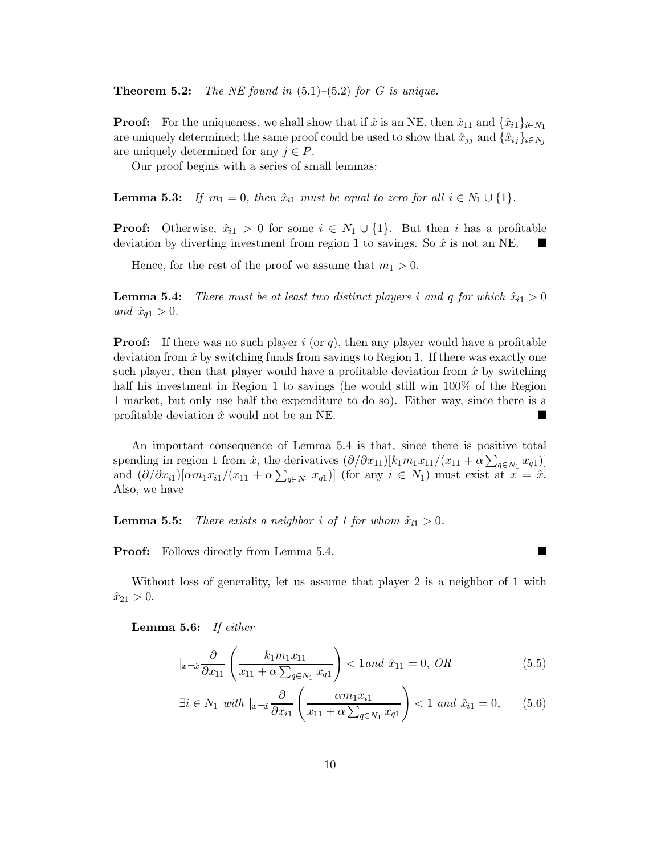Theorem 5.2: The NE found in  $(5.1)$ – $(5.2)$  for G is unique.

**Proof:** For the uniqueness, we shall show that if  $\hat{x}$  is an NE, then  $\hat{x}_{11}$  and  $\{\hat{x}_{i1}\}_{i \in N_1}$ are uniquely determined; the same proof could be used to show that  $\hat{x}_{ij}$  and  $\{\hat{x}_{ij}\}_{i \in N_i}$ are uniquely determined for any  $j \in P$ .

Our proof begins with a series of small lemmas:

**Lemma 5.3:** If  $m_1 = 0$ , then  $\hat{x}_{i1}$  must be equal to zero for all  $i \in N_1 \cup \{1\}$ .

**Proof:** Otherwise,  $\hat{x}_{i1} > 0$  for some  $i \in N_1 \cup \{1\}$ . But then i has a profitable deviation by diverting investment from region 1 to savings. So  $\hat{x}$  is not an NE.

Hence, for the rest of the proof we assume that  $m_1 > 0$ .

There must be at least two distinct players i and q for which  $\hat{x}_{i1} > 0$ Lemma 5.4: and  $\hat{x}_{q1} > 0$ .

**Proof:** If there was no such player i (or q), then any player would have a profitable deviation from  $\hat{x}$  by switching funds from savings to Region 1. If there was exactly one such player, then that player would have a profitable deviation from  $\hat{x}$  by switching half his investment in Region 1 to savings (he would still win 100% of the Region 1 market, but only use half the expenditure to do so). Either way, since there is a profitable deviation  $\hat{x}$  would not be an NE.  $\overline{\phantom{a}}$ 

An important consequence of Lemma 5.4 is that, since there is positive total spending in region 1 from  $\hat{x}$ , the derivatives  $(\partial/\partial x_{11})[k_1m_1x_{11}/(x_{11}+\alpha\sum_{q\in N_1}x_{q1})]$ and  $(\partial/\partial x_{i1})[\alpha m_1x_{i1}/(x_{11}+\alpha\sum_{q\in N_1}x_{q1})]$  (for any  $i\in N_1$ ) must exist at  $x=\hat{x}$ . Also, we have

Lemma 5.5: There exists a neighbor i of 1 for whom  $\hat{x}_{i1} > 0$ .

**Proof:** Follows directly from Lemma 5.4.

Without loss of generality, let us assume that player 2 is a neighbor of 1 with  $\hat{x}_{21} > 0.$ 

**Lemma 5.6:** If either

$$
|_{x=\hat{x}}\frac{\partial}{\partial x_{11}}\left(\frac{k_1m_1x_{11}}{x_{11}+\alpha\sum_{q\in N_1}x_{q1}}\right)<1 \text{ and } \hat{x}_{11}=0, \text{ } OR \tag{5.5}
$$

$$
\exists i \in N_1 \text{ with } |_{x=\hat{x}} \frac{\partial}{\partial x_{i1}} \left( \frac{\alpha m_1 x_{i1}}{x_{11} + \alpha \sum_{q \in N_1} x_{q1}} \right) < 1 \text{ and } \hat{x}_{i1} = 0,\qquad(5.6)
$$

 $\blacksquare$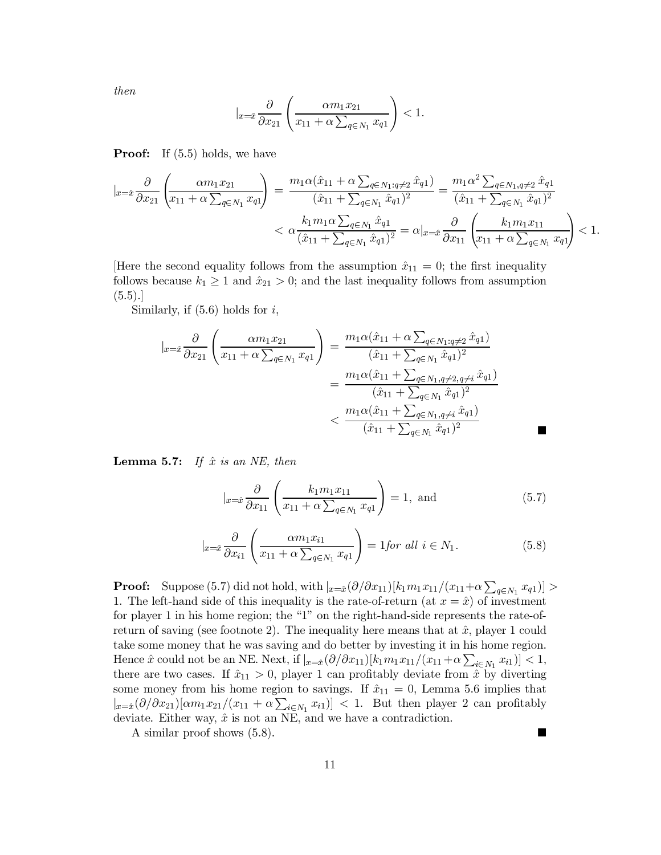then

$$
|_{x=\hat{x}}\frac{\partial}{\partial x_{21}}\left(\frac{\alpha m_1x_{21}}{x_{11}+\alpha \sum_{q\in N_1}x_{q1}}\right)<1.
$$

**Proof:** If  $(5.5)$  holds, we have

$$
\begin{split} |_{x=\hat{x}}\frac{\partial}{\partial x_{21}}\left(\frac{\alpha m_{1}x_{21}}{x_{11}+\alpha \sum_{q\in N_{1}}x_{q1}}\right) &= \frac{m_{1}\alpha(\hat{x}_{11}+\alpha \sum_{q\in N_{1}:q\neq 2}\hat{x}_{q1})}{(\hat{x}_{11}+\sum_{q\in N_{1}}\hat{x}_{q1})^{2}} = \frac{m_{1}\alpha^{2} \sum_{q\in N_{1}:q\neq 2}\hat{x}_{q1}}{(\hat{x}_{11}+\sum_{q\in N_{1}}\hat{x}_{q1})^{2}} \\ &< \alpha \frac{k_{1}m_{1}\alpha \sum_{q\in N_{1}}\hat{x}_{q1}}{(\hat{x}_{11}+\sum_{q\in N_{1}}\hat{x}_{q1})^{2}} = \alpha|_{x=\hat{x}}\frac{\partial}{\partial x_{11}}\left(\frac{k_{1}m_{1}x_{11}}{x_{11}+\alpha \sum_{q\in N_{1}}x_{q1}}\right) < 1. \end{split}
$$

[Here the second equality follows from the assumption  $\hat{x}_{11} = 0$ ; the first inequality follows because  $k_1 \geq 1$  and  $\hat{x}_{21} > 0$ ; and the last inequality follows from assumption  $(5.5).$ 

Similarly, if  $(5.6)$  holds for i,

$$
\begin{aligned}\n\left| x = \hat{x} \frac{\partial}{\partial x_{21}} \left( \frac{\alpha m_1 x_{21}}{x_{11} + \alpha \sum_{q \in N_1} x_{q1}} \right) \right| &= \frac{m_1 \alpha (\hat{x}_{11} + \alpha \sum_{q \in N_1 : q \neq 2} \hat{x}_{q1})}{(\hat{x}_{11} + \sum_{q \in N_1} \hat{x}_{q1})^2} \\
&= \frac{m_1 \alpha (\hat{x}_{11} + \sum_{q \in N_1, q \neq 2, q \neq i} \hat{x}_{q1})}{(\hat{x}_{11} + \sum_{q \in N_1} \hat{x}_{q1})^2} \\
&< \frac{m_1 \alpha (\hat{x}_{11} + \sum_{q \in N_1, q \neq i} \hat{x}_{q1})}{(\hat{x}_{11} + \sum_{q \in N_1} \hat{x}_{q1})^2}\n\end{aligned}
$$

**Lemma 5.7:** If  $\hat{x}$  is an NE, then

$$
|_{x=\hat{x}}\frac{\partial}{\partial x_{11}}\left(\frac{k_1m_1x_{11}}{x_{11}+\alpha\sum_{q\in N_1}x_{q1}}\right)=1, \text{ and } (5.7)
$$

$$
|_{x=\hat{x}}\frac{\partial}{\partial x_{i1}}\left(\frac{\alpha m_1 x_{i1}}{x_{11} + \alpha \sum_{q \in N_1} x_{q1}}\right) = 1 \text{for all } i \in N_1.
$$
 (5.8)

н

**Proof:** Suppose (5.7) did not hold, with  $|_{x=\hat{x}}(\partial/\partial x_{11})[k_1m_1x_{11}/(x_{11}+\alpha \sum_{q\in N_1}x_{q1})] >$ 1. The left-hand side of this inequality is the rate-of-return (at  $x = \hat{x}$ ) of investment for player 1 in his home region; the "1" on the right-hand-side represents the rate-ofreturn of saving (see footnote 2). The inequality here means that at  $\hat{x}$ , player 1 could take some money that he was saving and do better by investing it in his home region. Hence  $\hat{x}$  could not be an NE. Next, if  $|_{x=\hat{x}}(\partial/\partial x_{11})[k_1m_1x_{11}/(x_{11}+\alpha\sum_{i\in N_1}x_{i1})]<1$ , there are two cases. If  $\hat{x}_{11} > 0$ , player 1 can profitably deviate from  $\hat{x}$  by diverting some money from his home region to savings. If  $\hat{x}_{11} = 0$ , Lemma 5.6 implies that  $|_{x=\hat{x}}(\partial/\partial x_{21})[\alpha m_1x_{21}/(x_{11}+\alpha\sum_{i\in N_1}x_{i1})]<1.$  But then player 2 can profitably deviate. Either way,  $\hat{x}$  is not an NE, and we have a contradiction.

A similar proof shows  $(5.8)$ .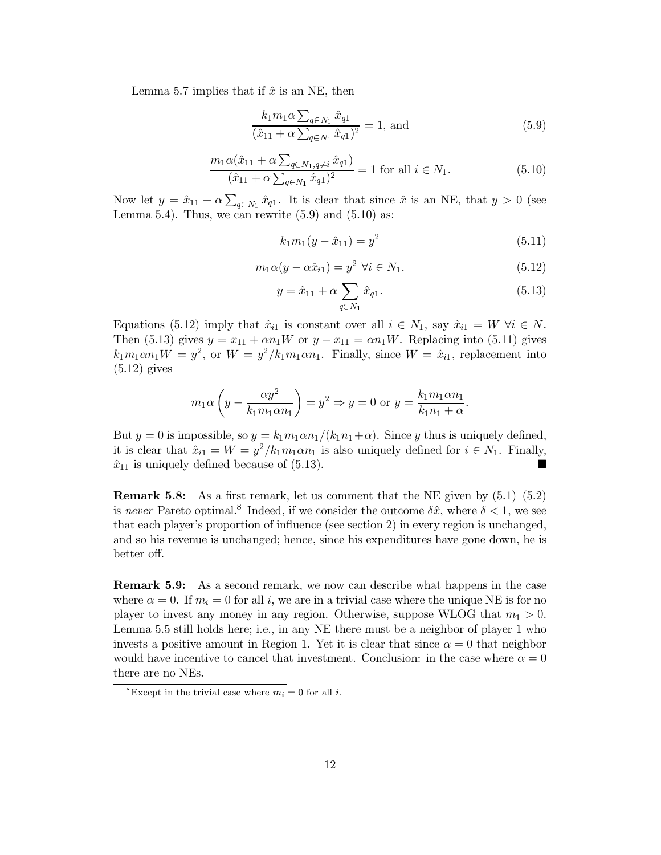Lemma 5.7 implies that if  $\hat{x}$  is an NE, then

$$
\frac{k_1 m_1 \alpha \sum_{q \in N_1} \hat{x}_{q1}}{(\hat{x}_{11} + \alpha \sum_{q \in N_1} \hat{x}_{q1})^2} = 1, \text{ and}
$$
 (5.9)

$$
\frac{m_1\alpha(\hat{x}_{11} + \alpha \sum_{q \in N_1, q \neq i} \hat{x}_{q1})}{(\hat{x}_{11} + \alpha \sum_{q \in N_1} \hat{x}_{q1})^2} = 1 \text{ for all } i \in N_1.
$$
\n(5.10)

Now let  $y = \hat{x}_{11} + \alpha \sum_{q \in N_1} \hat{x}_{q1}$ . It is clear that since  $\hat{x}$  is an NE, that  $y > 0$  (see Lemma 5.4). Thus, we can rewrite  $(5.9)$  and  $(5.10)$  as:

$$
k_1 m_1 (y - \hat{x}_{11}) = y^2 \tag{5.11}
$$

$$
m_1\alpha(y-\alpha\hat{x}_{i1})=y^2\ \forall i\in N_1.
$$
\n(5.12)

$$
y = \hat{x}_{11} + \alpha \sum_{q \in N_1} \hat{x}_{q1}.
$$
 (5.13)

Equations (5.12) imply that  $\hat{x}_{i1}$  is constant over all  $i \in N_1$ , say  $\hat{x}_{i1} = W \ \forall i \in N$ . Then (5.13) gives  $y = x_{11} + \alpha n_1 W$  or  $y - x_{11} = \alpha n_1 W$ . Replacing into (5.11) gives  $k_1m_1\alpha n_1W = y^2$ , or  $W = y^2/k_1m_1\alpha n_1$ . Finally, since  $W = \hat{x}_{i1}$ , replacement into  $(5.12)$  gives

$$
m_1 \alpha \left( y - \frac{\alpha y^2}{k_1 m_1 \alpha n_1} \right) = y^2 \Rightarrow y = 0 \text{ or } y = \frac{k_1 m_1 \alpha n_1}{k_1 n_1 + \alpha}.
$$

But  $y = 0$  is impossible, so  $y = k_1 m_1 \alpha n_1 / (k_1 n_1 + \alpha)$ . Since y thus is uniquely defined, it is clear that  $\hat{x}_{i1} = W = y^2/k_1m_1\alpha n_1$  is also uniquely defined for  $i \in N_1$ . Finally,  $\hat{x}_{11}$  is uniquely defined because of (5.13).

**Remark 5.8:** As a first remark, let us comment that the NE given by  $(5.1)$ – $(5.2)$ is never Pareto optimal.<sup>8</sup> Indeed, if we consider the outcome  $\delta \hat{x}$ , where  $\delta < 1$ , we see that each player's proportion of influence (see section 2) in every region is unchanged, and so his revenue is unchanged; hence, since his expenditures have gone down, he is better off.

**Remark 5.9:** As a second remark, we now can describe what happens in the case where  $\alpha = 0$ . If  $m_i = 0$  for all i, we are in a trivial case where the unique NE is for no player to invest any money in any region. Otherwise, suppose WLOG that  $m_1 > 0$ . Lemma 5.5 still holds here; i.e., in any NE there must be a neighbor of player 1 who invests a positive amount in Region 1. Yet it is clear that since  $\alpha = 0$  that neighbor would have incentive to cancel that investment. Conclusion: in the case where  $\alpha = 0$ there are no NEs.

<sup>&</sup>lt;sup>8</sup>Except in the trivial case where  $m_i = 0$  for all *i*.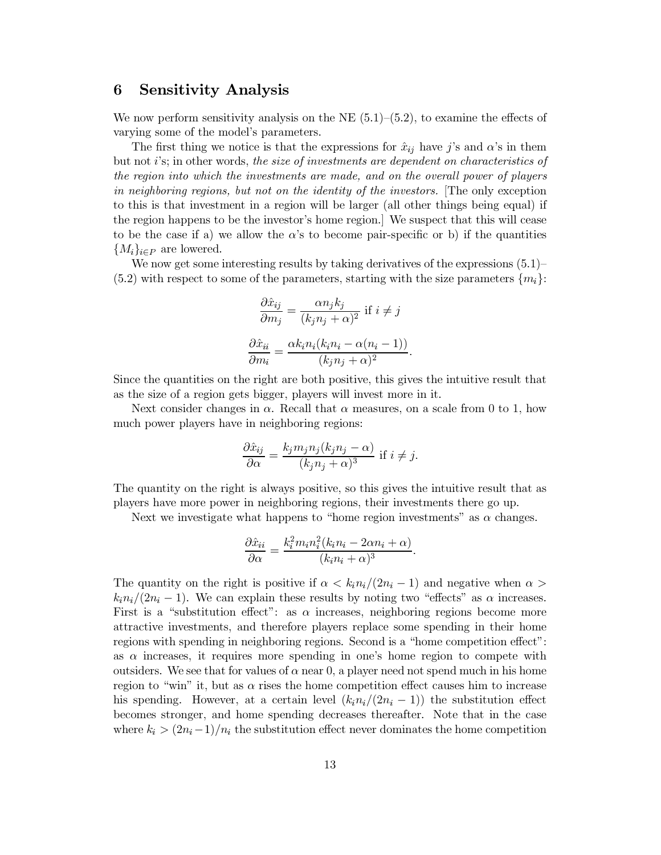#### **Sensitivity Analysis** 6

We now perform sensitivity analysis on the NE  $(5.1)$ – $(5.2)$ , to examine the effects of varying some of the model's parameters.

The first thing we notice is that the expressions for  $\hat{x}_{ij}$  have j's and  $\alpha$ 's in them but not i's; in other words, the size of investments are dependent on characteristics of the region into which the investments are made, and on the overall power of players in neighboring regions, but not on the identity of the investors. The only exception to this is that investment in a region will be larger (all other things being equal) if the region happens to be the investor's home region. We suspect that this will cease to be the case if a) we allow the  $\alpha$ 's to become pair-specific or b) if the quantities  ${M_i}_{i \in P}$  are lowered.

We now get some interesting results by taking derivatives of the expressions  $(5.1)$  $(5.2)$  with respect to some of the parameters, starting with the size parameters  $\{m_i\}$ :

$$
\frac{\partial \hat{x}_{ij}}{\partial m_j} = \frac{\alpha n_j k_j}{(k_j n_j + \alpha)^2} \text{ if } i \neq j
$$

$$
\frac{\partial \hat{x}_{ii}}{\partial m_i} = \frac{\alpha k_i n_i (k_i n_i - \alpha (n_i - 1))}{(k_i n_i + \alpha)^2}.
$$

Since the quantities on the right are both positive, this gives the intuitive result that as the size of a region gets bigger, players will invest more in it.

Next consider changes in  $\alpha$ . Recall that  $\alpha$  measures, on a scale from 0 to 1, how much power players have in neighboring regions:

$$
\frac{\partial \hat{x}_{ij}}{\partial \alpha} = \frac{k_j m_j n_j (k_j n_j - \alpha)}{(k_j n_j + \alpha)^3}
$$
 if  $i \neq j$ .

The quantity on the right is always positive, so this gives the intuitive result that as players have more power in neighboring regions, their investments there go up.

Next we investigate what happens to "home region investments" as  $\alpha$  changes.

$$
\frac{\partial \hat{x}_{ii}}{\partial \alpha} = \frac{k_i^2 m_i n_i^2 (k_i n_i - 2\alpha n_i + \alpha)}{(k_i n_i + \alpha)^3}.
$$

The quantity on the right is positive if  $\alpha < k_i n_i/(2n_i-1)$  and negative when  $\alpha >$  $k_i n_i/(2n_i-1)$ . We can explain these results by noting two "effects" as  $\alpha$  increases. First is a "substitution effect": as  $\alpha$  increases, neighboring regions become more attractive investments, and therefore players replace some spending in their home regions with spending in neighboring regions. Second is a "home competition effect": as  $\alpha$  increases, it requires more spending in one's home region to compete with outsiders. We see that for values of  $\alpha$  near 0, a player need not spend much in his home region to "win" it, but as  $\alpha$  rises the home competition effect causes him to increase his spending. However, at a certain level  $(k_i n_i/(2n_i-1))$  the substitution effect becomes stronger, and home spending decreases thereafter. Note that in the case where  $k_i > (2n_i-1)/n_i$  the substitution effect never dominates the home competition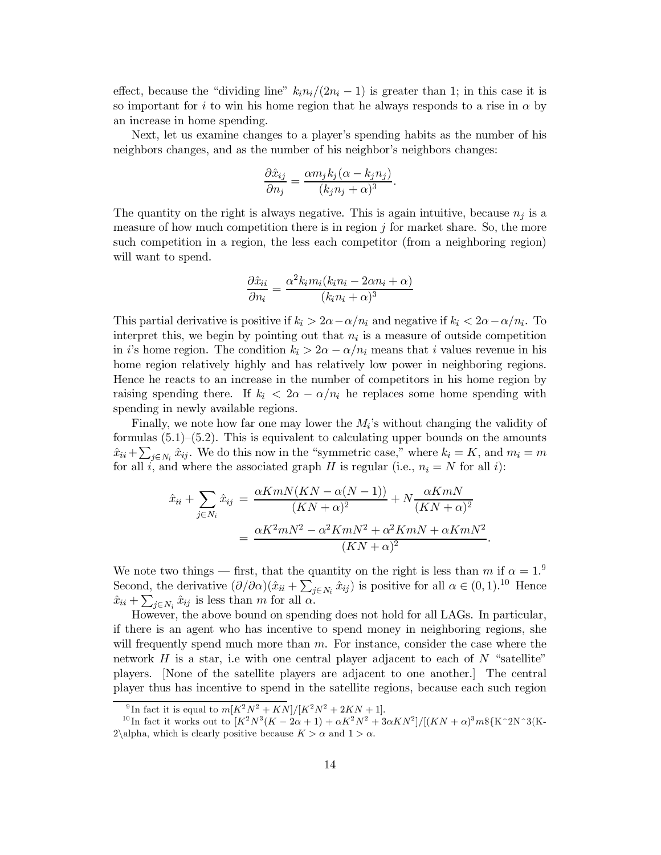effect, because the "dividing line"  $k_i n_i/(2n_i-1)$  is greater than 1; in this case it is so important for i to win his home region that he always responds to a rise in  $\alpha$  by an increase in home spending.

Next, let us examine changes to a player's spending habits as the number of his neighbors changes, and as the number of his neighbor's neighbors changes:

$$
\frac{\partial \hat{x}_{ij}}{\partial n_j} = \frac{\alpha m_j k_j (\alpha - k_j n_j)}{(k_j n_j + \alpha)^3}.
$$

The quantity on the right is always negative. This is again intuitive, because  $n_j$  is a measure of how much competition there is in region  $j$  for market share. So, the more such competition in a region, the less each competitor (from a neighboring region) will want to spend.

$$
\frac{\partial \hat{x}_{ii}}{\partial n_i} = \frac{\alpha^2 k_i m_i (k_i n_i - 2\alpha n_i + \alpha)}{(k_i n_i + \alpha)^3}
$$

This partial derivative is positive if  $k_i > 2\alpha - \alpha/n_i$  and negative if  $k_i < 2\alpha - \alpha/n_i$ . To interpret this, we begin by pointing out that  $n_i$  is a measure of outside competition in i's home region. The condition  $k_i > 2\alpha - \alpha/n_i$  means that i values revenue in his home region relatively highly and has relatively low power in neighboring regions. Hence he reacts to an increase in the number of competitors in his home region by raising spending there. If  $k_i < 2\alpha - \alpha/n_i$  he replaces some home spending with spending in newly available regions.

Finally, we note how far one may lower the  $M_i$ 's without changing the validity of formulas  $(5.1)$ – $(5.2)$ . This is equivalent to calculating upper bounds on the amounts  $\hat{x}_{ii} + \sum_{j \in N_i} \hat{x}_{ij}$ . We do this now in the "symmetric case," where  $k_i = K$ , and  $m_i = m$ for all *i*, and where the associated graph  $H$  is regular (i.e.,  $n_i = N$  for all *i*):

$$
\hat{x}_{ii} + \sum_{j \in N_i} \hat{x}_{ij} = \frac{\alpha K m N (KN - \alpha (N - 1))}{(KN + \alpha)^2} + N \frac{\alpha K m N}{(KN + \alpha)^2}
$$

$$
= \frac{\alpha K^2 m N^2 - \alpha^2 K m N^2 + \alpha^2 K m N + \alpha K m N^2}{(KN + \alpha)^2}
$$

We note two things — first, that the quantity on the right is less than m if  $\alpha = 1$ . Second, the derivative  $(\partial/\partial\alpha)(\hat{x}_{ii} + \sum_{j \in N_i} \hat{x}_{ij})$  is positive for all  $\alpha \in (0,1).^{10}$  Hence  $\hat{x}_{ii} + \sum_{i \in N_i} \hat{x}_{ij}$  is less than m for all  $\alpha$ .

However, the above bound on spending does not hold for all LAGs. In particular, if there is an agent who has incentive to spend money in neighboring regions, she will frequently spend much more than  $m$ . For instance, consider the case where the network  $H$  is a star, i.e with one central player adjacent to each of  $N$  "satellite" players. None of the satellite players are adjacent to one another. The central player thus has incentive to spend in the satellite regions, because each such region

<sup>&</sup>lt;sup>9</sup>In fact it is equal to  $m[K^2N^2 + KN]/[K^2N^2 + 2KN + 1]$ .

<sup>&</sup>lt;sup>10</sup>In fact it works out to  $[K^2N^3(K - 2\alpha + 1) + \alpha K^2N^2 + 3\alpha KN^2]/[(KN + \alpha)^3m*(K^2N^2)(K - 1)\alpha K^2N^2]$ 2\alpha, which is clearly positive because  $K > \alpha$  and  $1 > \alpha$ .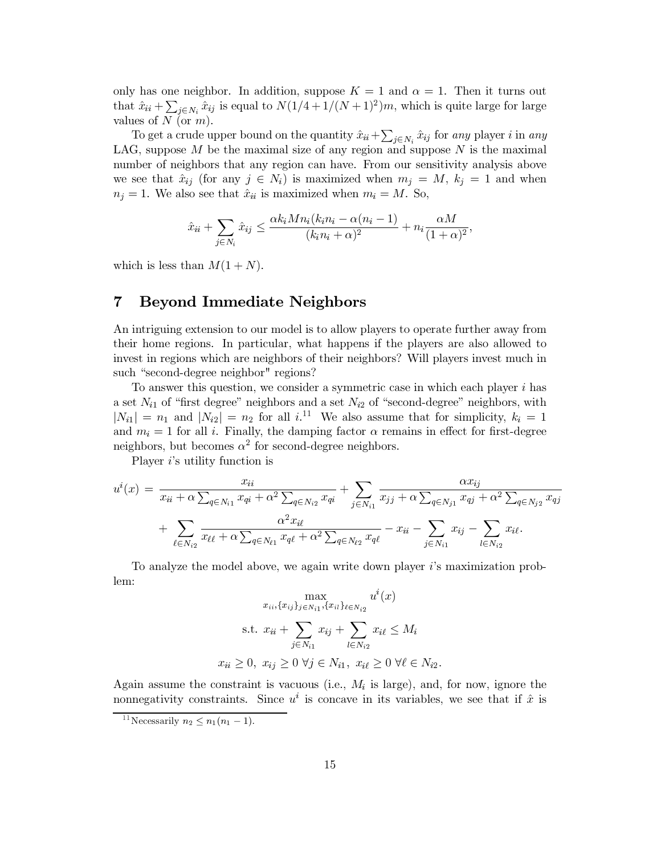only has one neighbor. In addition, suppose  $K = 1$  and  $\alpha = 1$ . Then it turns out that  $\hat{x}_{ii} + \sum_{j \in N_i} \hat{x}_{ij}$  is equal to  $N(1/4 + 1/(N+1)^2)m$ , which is quite large for large values of  $N$  (or  $m$ ).

To get a crude upper bound on the quantity  $\hat{x}_{ii} + \sum_{i \in N_i} \hat{x}_{ij}$  for any player i in any LAG, suppose  $M$  be the maximal size of any region and suppose  $N$  is the maximal number of neighbors that any region can have. From our sensitivity analysis above we see that  $\hat{x}_{ij}$  (for any  $j \in N_i$ ) is maximized when  $m_j = M$ ,  $k_j = 1$  and when  $n_j = 1$ . We also see that  $\hat{x}_{ii}$  is maximized when  $m_i = M$ . So,

$$
\hat{x}_{ii} + \sum_{j \in N_i} \hat{x}_{ij} \le \frac{\alpha k_i M n_i (k_i n_i - \alpha (n_i - 1)}{(k_i n_i + \alpha)^2} + n_i \frac{\alpha M}{(1 + \alpha)^2},
$$

which is less than  $M(1+N)$ .

#### $\overline{7}$ **Beyond Immediate Neighbors**

An intriguing extension to our model is to allow players to operate further away from their home regions. In particular, what happens if the players are also allowed to invest in regions which are neighbors of their neighbors? Will players invest much in such "second-degree neighbor" regions?

To answer this question, we consider a symmetric case in which each player i has a set  $N_{i1}$  of "first degree" neighbors and a set  $N_{i2}$  of "second-degree" neighbors, with  $|N_{i1}| = n_1$  and  $|N_{i2}| = n_2$  for all i.<sup>11</sup> We also assume that for simplicity,  $k_i = 1$ and  $m_i = 1$  for all i. Finally, the damping factor  $\alpha$  remains in effect for first-degree neighbors, but becomes  $\alpha^2$  for second-degree neighbors.

Player  $i$ 's utility function is

$$
u^{i}(x) = \frac{x_{ii}}{x_{ii} + \alpha \sum_{q \in N_{i1}} x_{qi} + \alpha^{2} \sum_{q \in N_{i2}} x_{qi}} + \sum_{j \in N_{i1}} \frac{\alpha x_{ij}}{x_{jj} + \alpha \sum_{q \in N_{j1}} x_{qj} + \alpha^{2} \sum_{q \in N_{j2}} x_{qj}} + \sum_{\ell \in N_{i2}} \frac{\alpha^{2} x_{i\ell}}{x_{\ell\ell} + \alpha \sum_{q \in N_{\ell1}} x_{q\ell}} + \sum_{q \in N_{\ell2}} \frac{\alpha x_{ij}}{x_{\ell\ell}} - x_{ii} - \sum_{j \in N_{i1}} x_{ij} - \sum_{l \in N_{i2}} x_{il}.
$$

To analyze the model above, we again write down player is maximization problem:

$$
\max_{x_{ii}, \{x_{ij}\}_{j \in N_{i1}}, \{x_{il}\}_{\ell \in N_{i2}}} u^{i}(x)
$$
\n
$$
\text{s.t. } x_{ii} + \sum_{j \in N_{i1}} x_{ij} + \sum_{l \in N_{i2}} x_{il} \le M_i
$$
\n
$$
x_{ii} \ge 0, \ x_{ij} \ge 0 \ \forall j \in N_{i1}, \ x_{il} \ge 0 \ \forall \ell \in N_{i2}
$$

Again assume the constraint is vacuous (i.e.,  $M_i$  is large), and, for now, ignore the nonnegativity constraints. Since  $u^i$  is concave in its variables, we see that if  $\hat{x}$  is

<sup>&</sup>lt;sup>11</sup>Necessarily  $n_2 \leq n_1(n_1-1)$ .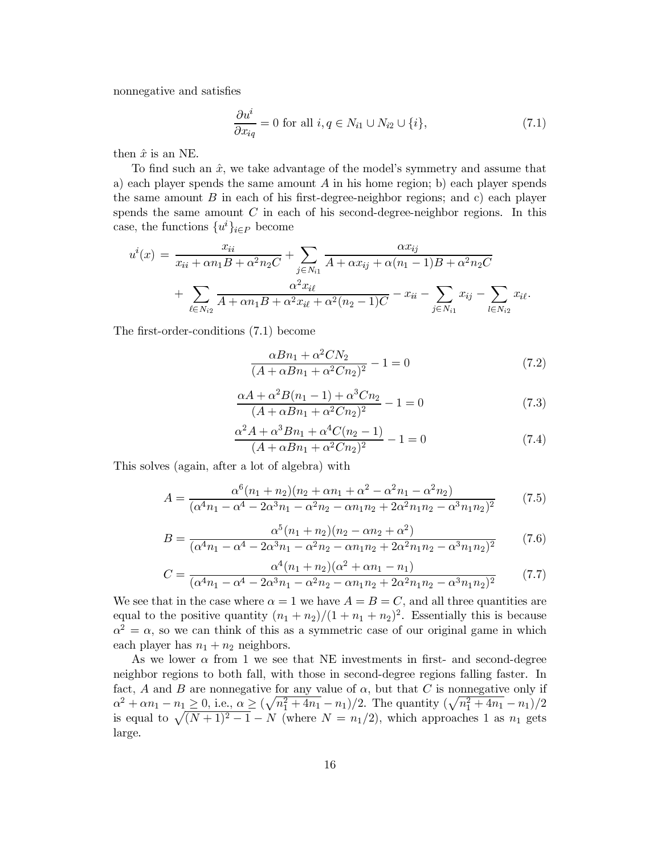nonnegative and satisfies

$$
\frac{\partial u^i}{\partial x_{iq}} = 0 \text{ for all } i, q \in N_{i1} \cup N_{i2} \cup \{i\},\tag{7.1}
$$

then  $\hat{x}$  is an NE.

To find such an  $\hat{x}$ , we take advantage of the model's symmetry and assume that a) each player spends the same amount  $A$  in his home region; b) each player spends the same amount  $B$  in each of his first-degree-neighbor regions; and c) each player spends the same amount  $C$  in each of his second-degree-neighbor regions. In this case, the functions  $\{u^i\}_{i\in P}$  become

$$
u^{i}(x) = \frac{x_{ii}}{x_{ii} + \alpha n_{1}B + \alpha^{2} n_{2}C} + \sum_{j \in N_{i1}} \frac{\alpha x_{ij}}{A + \alpha x_{ij} + \alpha (n_{1} - 1)B + \alpha^{2} n_{2}C} + \sum_{\ell \in N_{i2}} \frac{\alpha^{2} x_{i\ell}}{A + \alpha n_{1}B + \alpha^{2} x_{i\ell} + \alpha^{2} (n_{2} - 1)C} - x_{ii} - \sum_{j \in N_{i1}} x_{ij} - \sum_{l \in N_{i2}} x_{il}.
$$

The first-order-conditions  $(7.1)$  become

$$
\frac{\alpha B n_1 + \alpha^2 C N_2}{(A + \alpha B n_1 + \alpha^2 C n_2)^2} - 1 = 0
$$
\n(7.2)

$$
\frac{\alpha A + \alpha^2 B(n_1 - 1) + \alpha^3 C n_2}{(A + \alpha B n_1 + \alpha^2 C n_2)^2} - 1 = 0
$$
\n(7.3)

$$
\frac{\alpha^2 A + \alpha^3 B n_1 + \alpha^4 C(n_2 - 1)}{(A + \alpha B n_1 + \alpha^2 C n_2)^2} - 1 = 0
$$
\n(7.4)

This solves (again, after a lot of algebra) with

$$
A = \frac{\alpha^6 (n_1 + n_2)(n_2 + \alpha n_1 + \alpha^2 - \alpha^2 n_1 - \alpha^2 n_2)}{(\alpha^4 n_1 - \alpha^4 - 2\alpha^3 n_1 - \alpha^2 n_2 - \alpha n_1 n_2 + 2\alpha^2 n_1 n_2 - \alpha^3 n_1 n_2)^2}
$$
(7.5)

$$
B = \frac{\alpha^5 (n_1 + n_2)(n_2 - \alpha n_2 + \alpha^2)}{(\alpha^4 n_1 - \alpha^4 - 2\alpha^3 n_1 - \alpha^2 n_2 - \alpha n_1 n_2 + 2\alpha^2 n_1 n_2 - \alpha^3 n_1 n_2)^2}
$$
(7.6)

$$
C = \frac{\alpha^4 (n_1 + n_2)(\alpha^2 + \alpha n_1 - n_1)}{(\alpha^4 n_1 - \alpha^4 - 2\alpha^3 n_1 - \alpha^2 n_2 - \alpha n_1 n_2 + 2\alpha^2 n_1 n_2 - \alpha^3 n_1 n_2)^2}
$$
(7.7)

We see that in the case where  $\alpha = 1$  we have  $A = B = C$ , and all three quantities are equal to the positive quantity  $(n_1 + n_2)/(1 + n_1 + n_2)^2$ . Essentially this is because  $\alpha^2 = \alpha$ , so we can think of this as a symmetric case of our original game in which each player has  $n_1 + n_2$  neighbors.

As we lower  $\alpha$  from 1 we see that NE investments in first- and second-degree neighbor regions to both fall, with those in second-degree regions falling faster. In fact, A and B are nonnegative for any value of  $\alpha$ , but that C is nonnegative only if  $\alpha^2 + \alpha n_1 - n_1 \geq 0$ , i.e.,  $\alpha \geq (\sqrt{n_1^2 + 4n_1} - n_1)/2$ . The quantity  $(\sqrt{n_1^2 + 4n_1} - n_1)/2$  is equal to  $\sqrt{(N+1)^2 - 1} - N$  (where  $N = n_1/2$ ), which approaches 1 as  $n_1$  gets large.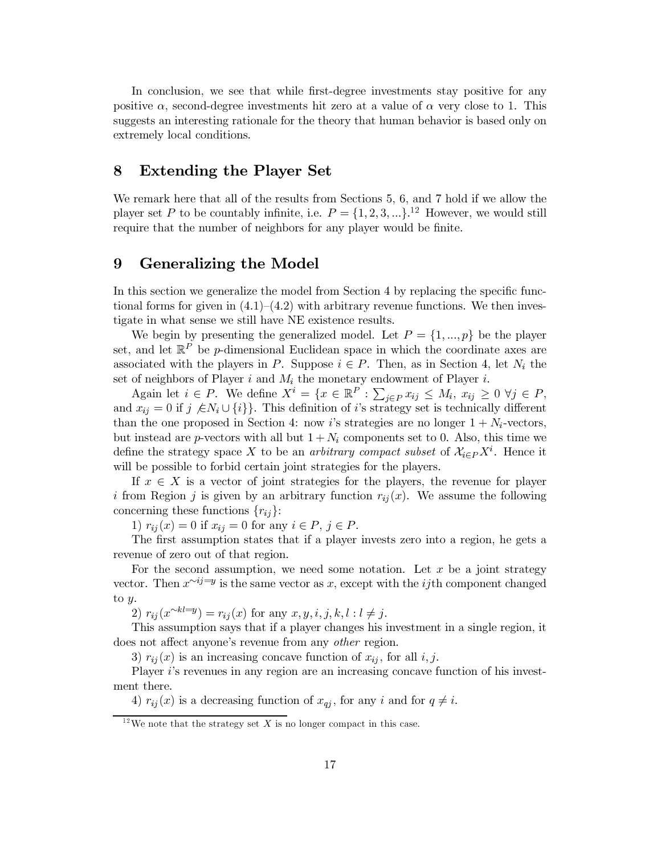In conclusion, we see that while first-degree investments stay positive for any positive  $\alpha$ , second-degree investments hit zero at a value of  $\alpha$  very close to 1. This suggests an interesting rationale for the theory that human behavior is based only on extremely local conditions.

#### 8 **Extending the Player Set**

We remark here that all of the results from Sections 5, 6, and 7 hold if we allow the player set P to be countably infinite, i.e.  $P = \{1, 2, 3, ...\}$ .<sup>12</sup> However, we would still require that the number of neighbors for any player would be finite.

#### 9 Generalizing the Model

In this section we generalize the model from Section 4 by replacing the specific functional forms for given in  $(4.1)$ – $(4.2)$  with arbitrary revenue functions. We then investigate in what sense we still have NE existence results.

We begin by presenting the generalized model. Let  $P = \{1, ..., p\}$  be the player set, and let  $\mathbb{R}^P$  be p-dimensional Euclidean space in which the coordinate axes are associated with the players in P. Suppose  $i \in P$ . Then, as in Section 4, let  $N_i$  the set of neighbors of Player  $i$  and  $M_i$  the monetary endowment of Player  $i$ .

Again let  $i \in P$ . We define  $X^i = \{x \in \mathbb{R}^P : \sum_{j \in P} x_{ij} \leq M_i, x_{ij} \geq 0 \ \forall j \in P,$ and  $x_{ij} = 0$  if  $j \notin N_i \cup \{i\}$ . This definition of i's strategy set is technically different than the one proposed in Section 4: now i's strategies are no longer  $1 + N_i$ -vectors, but instead are *p*-vectors with all but  $1 + N_i$  components set to 0. Also, this time we define the strategy space X to be an *arbitrary compact subset* of  $\mathcal{X}_{i\in P}X^{i}$ . Hence it will be possible to forbid certain joint strategies for the players.

If  $x \in X$  is a vector of joint strategies for the players, the revenue for player i from Region j is given by an arbitrary function  $r_{ij}(x)$ . We assume the following concerning these functions  $\{r_{ij}\}$ :

1)  $r_{ii}(x) = 0$  if  $x_{ii} = 0$  for any  $i \in P$ ,  $j \in P$ .

The first assumption states that if a player invests zero into a region, he gets a revenue of zero out of that region.

For the second assumption, we need some notation. Let  $x$  be a joint strategy vector. Then  $x^{\sim ij=y}$  is the same vector as x, except with the *ij*th component changed to  $y$ .

2)  $r_{ij}(x^{\sim kl=y}) = r_{ij}(x)$  for any  $x, y, i, j, k, l : l \neq j$ .

This assumption says that if a player changes his investment in a single region, it does not affect anyone's revenue from any *other* region.

3)  $r_{ij}(x)$  is an increasing concave function of  $x_{ij}$ , for all i, j.

Player i's revenues in any region are an increasing concave function of his investment there.

4)  $r_{ij}(x)$  is a decreasing function of  $x_{qj}$ , for any i and for  $q \neq i$ .

<sup>&</sup>lt;sup>12</sup>We note that the strategy set X is no longer compact in this case.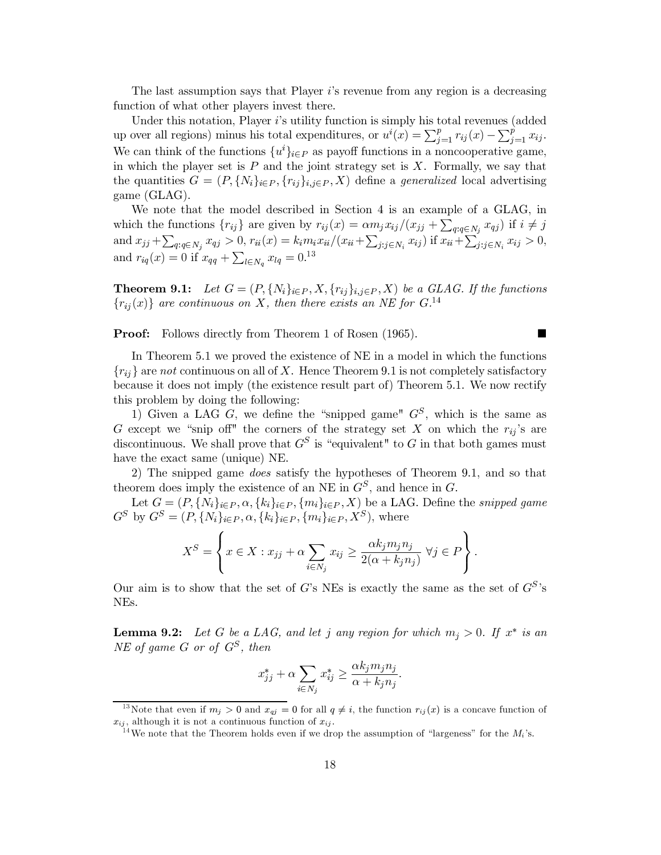The last assumption says that Player i's revenue from any region is a decreasing function of what other players invest there.

Under this notation, Player i's utility function is simply his total revenues (added up over all regions) minus his total expenditures, or  $u^{i}(x) = \sum_{j=1}^{p} r_{ij}(x) - \sum_{j=1}^{p} x_{ij}$ . We can think of the functions  $\{u^i\}_{i \in P}$  as payoff functions in a noncooperative game, in which the player set is  $P$  and the joint strategy set is  $X$ . Formally, we say that the quantities  $G = (P, \{N_i\}_{i \in P}, \{r_{ij}\}_{i,j \in P}, X)$  define a *generalized* local advertising game (GLAG).

We note that the model described in Section 4 is an example of a GLAG, in which the functions  $\{r_{ij}\}\$ are given by  $r_{ij}(x) = \alpha m_j x_{ij}/(x_{jj} + \sum_{q:q \in N_j} x_{qj})$  if  $i \neq j$ and  $x_{jj} + \sum_{q:q \in N_j} x_{qj} > 0$ ,  $r_{ii}(x) = k_i m_i x_{ii} / (x_{ii} + \sum_{j:j \in N_i} x_{ij})$  if  $x_{ii} + \sum_{j:j \in N_i} x_{ij} > 0$ ,<br>and  $r_{iq}(x) = 0$  if  $x_{qq} + \sum_{l \in N_q} x_{lq} = 0$ .<sup>13</sup>

**Theorem 9.1:** Let  $G = (P, \{N_i\}_{i \in P}, X, \{r_{ij}\}_{i,j \in P}, X)$  be a GLAG. If the functions  ${r_{ij}(x)}$  are continuous on X, then there exists an NE for G.<sup>14</sup>

**Proof:** Follows directly from Theorem 1 of Rosen (1965).

 $\blacksquare$ 

In Theorem 5.1 we proved the existence of NE in a model in which the functions  $\{r_{ij}\}\$ are not continuous on all of X. Hence Theorem 9.1 is not completely satisfactory because it does not imply (the existence result part of) Theorem 5.1. We now rectify this problem by doing the following:

1) Given a LAG  $G$ , we define the "snipped game"  $G^S$ , which is the same as G except we "snip off" the corners of the strategy set X on which the  $r_{ij}$ 's are discontinuous. We shall prove that  $G^S$  is "equivalent" to G in that both games must have the exact same (unique) NE.

2) The snipped game *does* satisfy the hypotheses of Theorem 9.1, and so that theorem does imply the existence of an NE in  $G^S$ , and hence in G.

Let  $G = (P, \{N_i\}_{i \in P}, \alpha, \{k_i\}_{i \in P}, \{m_i\}_{i \in P}, X)$  be a LAG. Define the snipped game  $G^{S}$  by  $G^{S} = (P, \{N_{i}\}_{i \in P}, \alpha, \{k_{i}\}_{i \in P}, \{m_{i}\}_{i \in P}, X^{S})$ , where

$$
X^{S} = \left\{ x \in X : x_{jj} + \alpha \sum_{i \in N_{j}} x_{ij} \ge \frac{\alpha k_{j} m_{j} n_{j}}{2(\alpha + k_{j} n_{j})} \ \forall j \in P \right\}.
$$

Our aim is to show that the set of G's NEs is exactly the same as the set of  $G^S$ 's NEs.

**Lemma 9.2:** Let G be a LAG, and let j any region for which  $m_j > 0$ . If  $x^*$  is an NE of game G or of  $G^S$ , then

$$
x_{jj}^* + \alpha \sum_{i \in N_j} x_{ij}^* \ge \frac{\alpha k_j m_j n_j}{\alpha + k_j n_j}.
$$

<sup>&</sup>lt;sup>13</sup>Note that even if  $m_j > 0$  and  $x_{qj} = 0$  for all  $q \neq i$ , the function  $r_{ij}(x)$  is a concave function of  $x_{ij}$ , although it is not a continuous function of  $x_{ij}$ .

<sup>&</sup>lt;sup>14</sup>We note that the Theorem holds even if we drop the assumption of "largeness" for the  $M_i$ 's.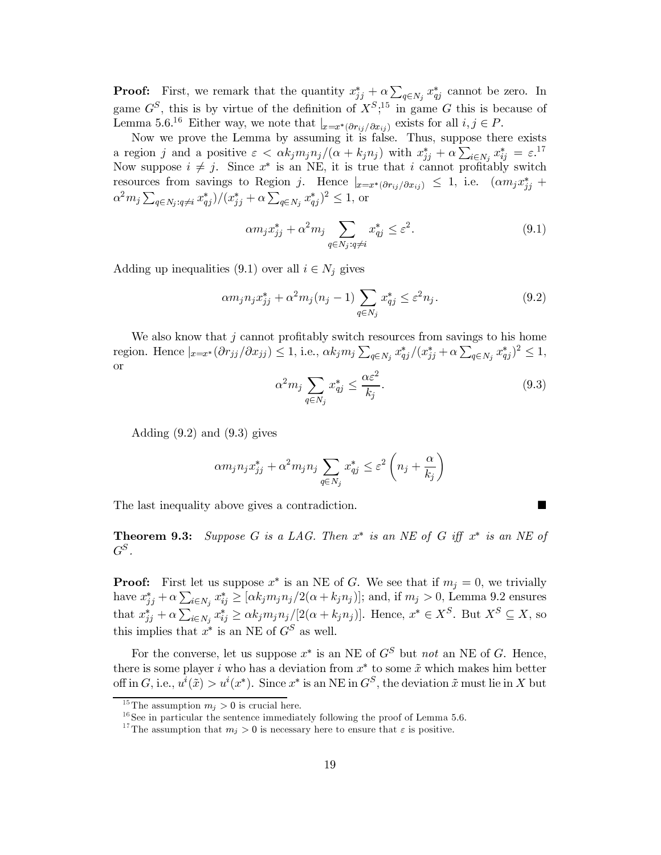**Proof:** First, we remark that the quantity  $x_{jj}^* + \alpha \sum_{q \in N_j} x_{qj}^*$  cannot be zero. In game  $G^S$ , this is by virtue of the definition of  $X^S$ ;<sup>15</sup> in game G this is because of Lemma 5.6.<sup>16</sup> Either way, we note that  $|_{x=x^*(\partial r_{ij}/\partial x_{ij})}$  exists for all  $i, j \in P$ .

Now we prove the Lemma by assuming it is false. Thus, suppose there exists a region j and a positive  $\varepsilon < \alpha k_j m_j n_j/(\alpha + k_j n_j)$  with  $x_{jj}^* + \alpha \sum_{i \in N_j} x_{ij}^* = \varepsilon^{17}$ Now suppose  $i \neq j$ . Since  $x^*$  is an NE, it is true that i cannot profitably switch resources from savings to Region j. Hence  $|_{x=x^*(\partial r_{ij}/\partial x_{ij})} \leq 1$ , i.e.  $(\alpha m_j x^*_{jj} +$  $\alpha^2 m_j \sum_{q \in N_i: q \neq i} x_{qj}^* / (x_{jj}^* + \alpha \sum_{q \in N_i} x_{qj}^*)^2 \leq 1$ , or

$$
\alpha m_j x_{jj}^* + \alpha^2 m_j \sum_{q \in N_j : q \neq i} x_{qj}^* \leq \varepsilon^2.
$$
\n(9.1)

Adding up inequalities (9.1) over all  $i \in N_j$  gives

$$
\alpha m_j n_j x_{jj}^* + \alpha^2 m_j (n_j - 1) \sum_{q \in N_j} x_{qj}^* \le \varepsilon^2 n_j.
$$
 (9.2)

We also know that  $j$  cannot profitably switch resources from savings to his home region. Hence  $|x=x^*(\partial r_{jj}/\partial x_{jj}) \leq 1$ , i.e.,  $\alpha k_j m_j \sum_{q \in N_j} x^*_{qj}/(x^*_{jj} + \alpha \sum_{q \in N_j} x^*_{qj})^2 \leq 1$ ,  $\hbox{or}$ 

$$
\alpha^2 m_j \sum_{q \in N_j} x_{qj}^* \le \frac{\alpha \varepsilon^2}{k_j}.\tag{9.3}
$$

Adding  $(9.2)$  and  $(9.3)$  gives

$$
\alpha m_j n_j x_{jj}^* + \alpha^2 m_j n_j \sum_{q \in N_j} x_{qj}^* \le \varepsilon^2 \left( n_j + \frac{\alpha}{k_j} \right)
$$

The last inequality above gives a contradiction.

**Theorem 9.3:** Suppose G is a LAG. Then  $x^*$  is an NE of G iff  $x^*$  is an NE of  $G^S$ .

**Proof:** First let us suppose  $x^*$  is an NE of G. We see that if  $m_i = 0$ , we trivially have  $x_{jj}^* + \alpha \sum_{i \in N_j} x_{ij}^* \geq [\alpha k_j m_j n_j / 2(\alpha + k_j n_j)];$  and, if  $m_j > 0$ , Lemma 9.2 ensures that  $x_{jj}^* + \alpha \sum_{i \in N_j} x_{ij}^* \geq \alpha k_j m_j n_j/[2(\alpha + k_j n_j)]$ . Hence,  $x^* \in X^S$ . But  $X^S \subseteq X$ , so this implies that  $x^*$  is an NE of  $G^S$  as well.

For the converse, let us suppose  $x^*$  is an NE of  $G^S$  but not an NE of G. Hence, there is some player i who has a deviation from  $x^*$  to some  $\tilde{x}$  which makes him better off in G, i.e.,  $u^{i}(\tilde{x}) > u^{i}(x^{*})$ . Since  $x^{*}$  is an NE in  $G^{S}$ , the deviation  $\tilde{x}$  must lie in X but

<sup>&</sup>lt;sup>15</sup>The assumption  $m_i > 0$  is crucial here.

 $16$  See in particular the sentence immediately following the proof of Lemma 5.6.

<sup>&</sup>lt;sup>17</sup>The assumption that  $m_j > 0$  is necessary here to ensure that  $\varepsilon$  is positive.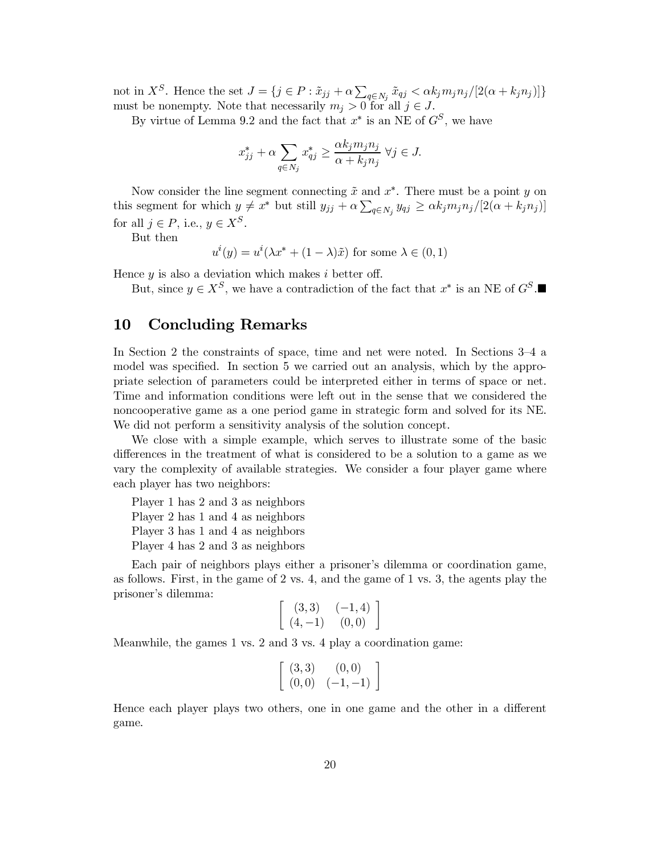not in  $X^S$ . Hence the set  $J = \{j \in P : \tilde{x}_{jj} + \alpha \sum_{q \in N_j} \tilde{x}_{qj} < \alpha k_j m_j n_j / [2(\alpha + k_j n_j)]\}$ must be nonempty. Note that necessarily  $m_j > 0$  for all  $j \in J$ .

By virtue of Lemma 9.2 and the fact that  $x^*$  is an NE of  $G^S$ , we have

$$
x_{jj}^* + \alpha \sum_{q \in N_j} x_{qj}^* \ge \frac{\alpha k_j m_j n_j}{\alpha + k_j n_j} \ \forall j \in J.
$$

Now consider the line segment connecting  $\tilde{x}$  and  $x^*$ . There must be a point y on this segment for which  $y \neq x^*$  but still  $y_{jj} + \alpha \sum_{q \in N_j} y_{qj} \geq \alpha k_j m_j n_j / [2(\alpha + k_j n_j)]$ for all  $j \in P$ , i.e.,  $y \in X^S$ .

But then

 $u^{i}(y) = u^{i}(\lambda x^{*} + (1 - \lambda)\tilde{x})$  for some  $\lambda \in (0,1)$ 

Hence  $y$  is also a deviation which makes i better off.

But, since  $y \in X^S$ , we have a contradiction of the fact that  $x^*$  is an NE of  $G^S$ .

#### **Concluding Remarks** 10

In Section 2 the constraints of space, time and net were noted. In Sections 3–4 a model was specified. In section 5 we carried out an analysis, which by the appropriate selection of parameters could be interpreted either in terms of space or net. Time and information conditions were left out in the sense that we considered the noncooperative game as a one period game in strategic form and solved for its NE. We did not perform a sensitivity analysis of the solution concept.

We close with a simple example, which serves to illustrate some of the basic differences in the treatment of what is considered to be a solution to a game as we vary the complexity of available strategies. We consider a four player game where each player has two neighbors:

Player 1 has 2 and 3 as neighbors Player 2 has 1 and 4 as neighbors Player 3 has 1 and 4 as neighbors Player 4 has 2 and 3 as neighbors

Each pair of neighbors plays either a prisoner's dilemma or coordination game, as follows. First, in the game of  $2 \text{ vs. } 4$ , and the game of  $1 \text{ vs. } 3$ , the agents play the prisoner's dilemma:

$$
\begin{bmatrix}\n(3,3) & (-1,4) \\
(4,-1) & (0,0)\n\end{bmatrix}
$$

Meanwhile, the games 1 vs. 2 and 3 vs. 4 play a coordination game:

$$
\left[ \begin{array}{cc} (3,3) & (0,0) \\ (0,0) & (-1,-1) \end{array} \right]
$$

Hence each player plays two others, one in one game and the other in a different game.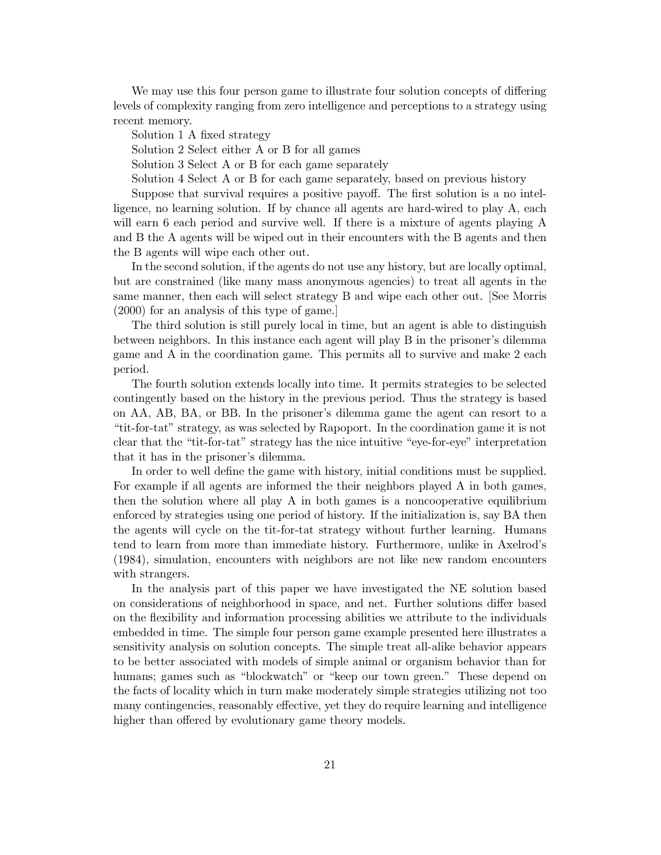We may use this four person game to illustrate four solution concepts of differing levels of complexity ranging from zero intelligence and perceptions to a strategy using recent memory.

Solution 1 A fixed strategy

Solution 2 Select either A or B for all games

Solution 3 Select A or B for each game separately

Solution 4 Select A or B for each game separately, based on previous history

Suppose that survival requires a positive payoff. The first solution is a no intelligence, no learning solution. If by chance all agents are hard-wired to play A, each will earn 6 each period and survive well. If there is a mixture of agents playing A and B the A agents will be wiped out in their encounters with the B agents and then the B agents will wipe each other out.

In the second solution, if the agents do not use any history, but are locally optimal, but are constrained (like many mass anonymous agencies) to treat all agents in the same manner, then each will select strategy B and wipe each other out. See Morris  $(2000)$  for an analysis of this type of game.

The third solution is still purely local in time, but an agent is able to distinguish between neighbors. In this instance each agent will play B in the prisoner's dilemma game and A in the coordination game. This permits all to survive and make 2 each period.

The fourth solution extends locally into time. It permits strategies to be selected contingently based on the history in the previous period. Thus the strategy is based on AA, AB, BA, or BB. In the prisoner's dilemma game the agent can resort to a "tit-for-tat" strategy, as was selected by Rapoport. In the coordination game it is not clear that the "tit-for-tat" strategy has the nice intuitive "eye-for-eye" interpretation that it has in the prisoner's dilemma.

In order to well define the game with history, initial conditions must be supplied. For example if all agents are informed the their neighbors played A in both games, then the solution where all play A in both games is a noncooperative equilibrium enforced by strategies using one period of history. If the initialization is, say BA then the agents will cycle on the tit-for-tat strategy without further learning. Humans tend to learn from more than immediate history. Furthermore, unlike in Axelrod's (1984), simulation, encounters with neighbors are not like new random encounters with strangers.

In the analysis part of this paper we have investigated the NE solution based on considerations of neighborhood in space, and net. Further solutions differ based on the flexibility and information processing abilities we attribute to the individuals embedded in time. The simple four person game example presented here illustrates a sensitivity analysis on solution concepts. The simple treat all-alike behavior appears to be better associated with models of simple animal or organism behavior than for humans; games such as "blockwatch" or "keep our town green." These depend on the facts of locality which in turn make moderately simple strategies utilizing not too many contingencies, reasonably effective, yet they do require learning and intelligence higher than offered by evolutionary game theory models.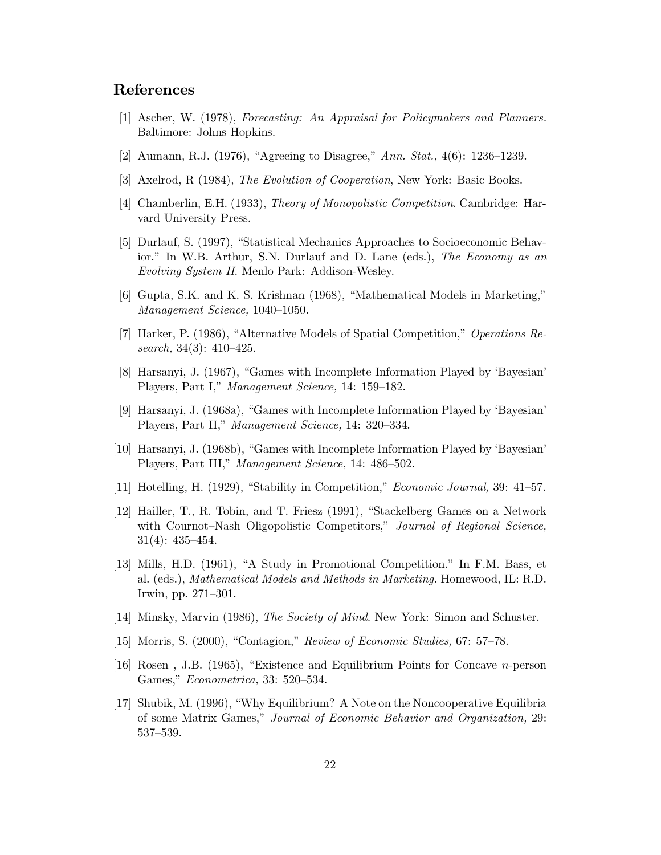### **References**

- [1] Ascher, W. (1978), Forecasting: An Appraisal for Policymakers and Planners. Baltimore: Johns Hopkins.
- [2] Aumann, R.J. (1976), "Agreeing to Disagree," Ann. Stat.,  $4(6)$ : 1236–1239.
- [3] Axelrod, R (1984), *The Evolution of Cooperation*, New York: Basic Books.
- [4] Chamberlin, E.H. (1933), *Theory of Monopolistic Competition*. Cambridge: Harvard University Press.
- [5] Durlauf, S. (1997), "Statistical Mechanics Approaches to Socioeconomic Behavior." In W.B. Arthur, S.N. Durlauf and D. Lane (eds.), The Economy as an *Evolving System II.* Menlo Park: Addison-Wesley.
- [6] Gupta, S.K. and K. S. Krishnan (1968), "Mathematical Models in Marketing," Management Science, 1040-1050.
- [7] Harker, P. (1986), "Alternative Models of Spatial Competition," Operations Research,  $34(3)$ :  $410-425$ .
- [8] Harsanyi, J. (1967), "Games with Incomplete Information Played by 'Bayesian' Players, Part I," Management Science, 14: 159-182.
- [9] Harsanyi, J. (1968a), "Games with Incomplete Information Played by 'Bayesian' Players, Part II," Management Science, 14: 320–334.
- [10] Harsanyi, J. (1968b), "Games with Incomplete Information Played by 'Bayesian' Players, Part III," Management Science, 14: 486-502.
- [11] Hotelling, H. (1929), "Stability in Competition," *Economic Journal*, 39: 41–57.
- [12] Hailler, T., R. Tobin, and T. Friesz (1991), "Stackelberg Games on a Network with Cournot-Nash Oligopolistic Competitors," Journal of Regional Science,  $31(4): 435 - 454.$
- [13] Mills, H.D. (1961), "A Study in Promotional Competition." In F.M. Bass, et al. (eds.), Mathematical Models and Methods in Marketing. Homewood, IL: R.D. Irwin, pp. 271-301.
- [14] Minsky, Marvin (1986), *The Society of Mind*. New York: Simon and Schuster.
- [15] Morris, S. (2000), "Contagion," Review of Economic Studies, 67: 57–78.
- [16] Rosen, J.B. (1965), "Existence and Equilibrium Points for Concave  $n$ -person Games," *Econometrica*, 33: 520–534.
- [17] Shubik, M. (1996), "Why Equilibrium? A Note on the Noncooperative Equilibria of some Matrix Games," Journal of Economic Behavior and Organization, 29:  $537 - 539.$